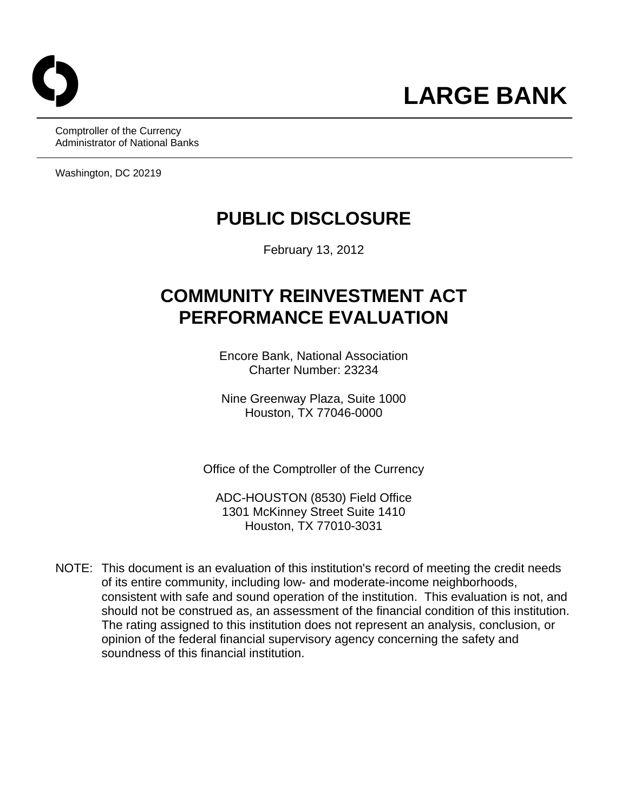

Comptroller of the Currency Administrator of National Banks

Washington, DC 20219

# **PUBLIC DISCLOSURE**

February 13, 2012

# **COMMUNITY REINVESTMENT ACT PERFORMANCE EVALUATION**

Encore Bank, National Association Charter Number: 23234

Nine Greenway Plaza, Suite 1000 Houston, TX 77046-0000

Office of the Comptroller of the Currency

ADC-HOUSTON (8530) Field Office 1301 McKinney Street Suite 1410 Houston, TX 77010-3031

consistent with safe and sound operation of the institution. This evaluation is not, and NOTE: This document is an evaluation of this institution's record of meeting the credit needs of its entire community, including low- and moderate-income neighborhoods, should not be construed as, an assessment of the financial condition of this institution. The rating assigned to this institution does not represent an analysis, conclusion, or opinion of the federal financial supervisory agency concerning the safety and soundness of this financial institution.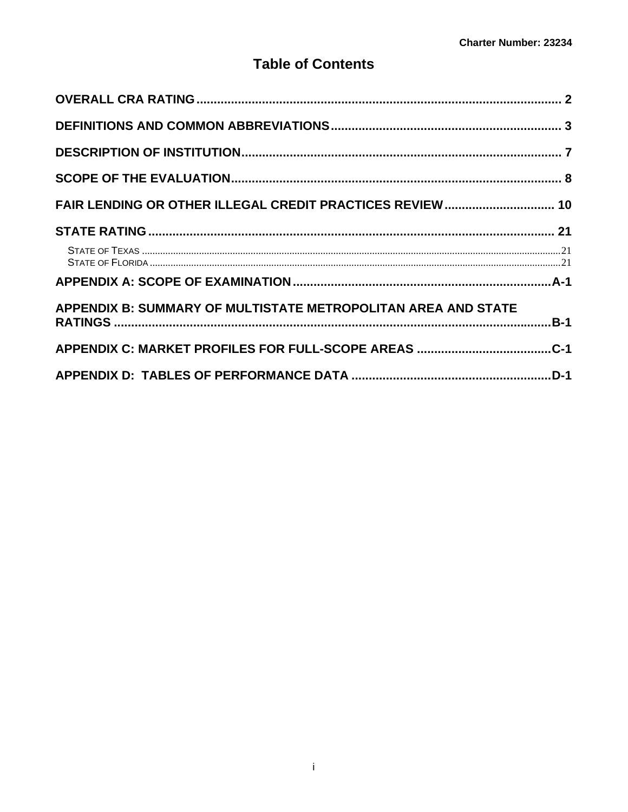## **Table of Contents**

| FAIR LENDING OR OTHER ILLEGAL CREDIT PRACTICES REVIEW  10     |
|---------------------------------------------------------------|
|                                                               |
|                                                               |
|                                                               |
| APPENDIX B: SUMMARY OF MULTISTATE METROPOLITAN AREA AND STATE |
|                                                               |
|                                                               |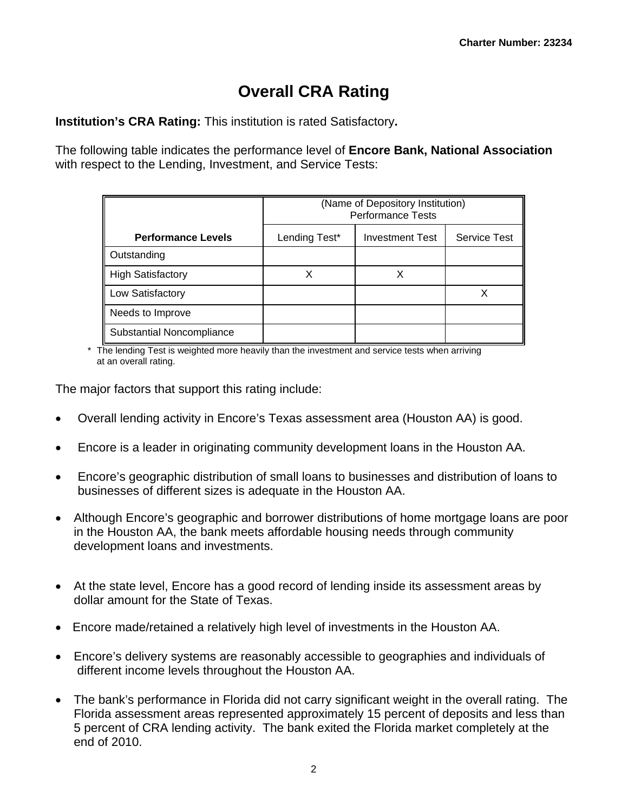# **Overall CRA Rating**

**Institution's CRA Rating:** This institution is rated Satisfactory**.** 

The following table indicates the performance level of **Encore Bank, National Association**  with respect to the Lending, Investment, and Service Tests:

|                           | (Name of Depository Institution)<br><b>Performance Tests</b> |                        |                     |  |  |  |  |  |  |  |
|---------------------------|--------------------------------------------------------------|------------------------|---------------------|--|--|--|--|--|--|--|
| <b>Performance Levels</b> | Lending Test*                                                | <b>Investment Test</b> | <b>Service Test</b> |  |  |  |  |  |  |  |
| Outstanding               |                                                              |                        |                     |  |  |  |  |  |  |  |
| <b>High Satisfactory</b>  | Χ                                                            |                        |                     |  |  |  |  |  |  |  |
| Low Satisfactory          |                                                              |                        | X                   |  |  |  |  |  |  |  |
| Needs to Improve          |                                                              |                        |                     |  |  |  |  |  |  |  |
| Substantial Noncompliance |                                                              |                        |                     |  |  |  |  |  |  |  |

\* The lending Test is weighted more heavily than the investment and service tests when arriving at an overall rating.

The major factors that support this rating include:

- Overall lending activity in Encore's Texas assessment area (Houston AA) is good.
- Encore is a leader in originating community development loans in the Houston AA.
- Encore's geographic distribution of small loans to businesses and distribution of loans to businesses of different sizes is adequate in the Houston AA.
- Although Encore's geographic and borrower distributions of home mortgage loans are poor in the Houston AA, the bank meets affordable housing needs through community development loans and investments.
- At the state level, Encore has a good record of lending inside its assessment areas by dollar amount for the State of Texas.
- Encore made/retained a relatively high level of investments in the Houston AA.
- Encore's delivery systems are reasonably accessible to geographies and individuals of different income levels throughout the Houston AA.
- The bank's performance in Florida did not carry significant weight in the overall rating. The Florida assessment areas represented approximately 15 percent of deposits and less than 5 percent of CRA lending activity. The bank exited the Florida market completely at the end of 2010.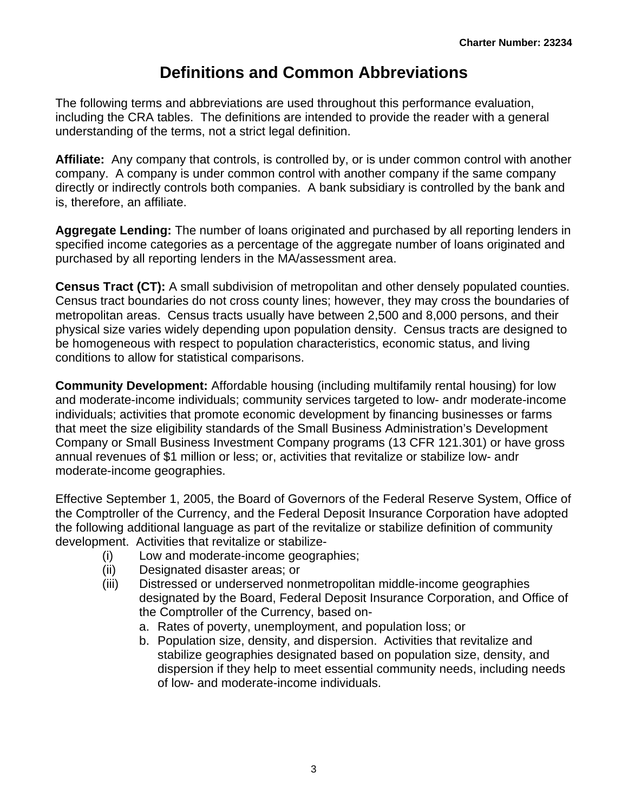# **Definitions and Common Abbreviations**

<span id="page-3-0"></span>The following terms and abbreviations are used throughout this performance evaluation, including the CRA tables. The definitions are intended to provide the reader with a general understanding of the terms, not a strict legal definition.

**Affiliate:** Any company that controls, is controlled by, or is under common control with another company. A company is under common control with another company if the same company directly or indirectly controls both companies. A bank subsidiary is controlled by the bank and is, therefore, an affiliate.

**Aggregate Lending:** The number of loans originated and purchased by all reporting lenders in specified income categories as a percentage of the aggregate number of loans originated and purchased by all reporting lenders in the MA/assessment area.

**Census Tract (CT):** A small subdivision of metropolitan and other densely populated counties. Census tract boundaries do not cross county lines; however, they may cross the boundaries of metropolitan areas. Census tracts usually have between 2,500 and 8,000 persons, and their physical size varies widely depending upon population density. Census tracts are designed to be homogeneous with respect to population characteristics, economic status, and living conditions to allow for statistical comparisons.

**Community Development:** Affordable housing (including multifamily rental housing) for low and moderate-income individuals; community services targeted to low- andr moderate-income individuals; activities that promote economic development by financing businesses or farms that meet the size eligibility standards of the Small Business Administration's Development Company or Small Business Investment Company programs (13 CFR 121.301) or have gross annual revenues of \$1 million or less; or, activities that revitalize or stabilize low- andr moderate-income geographies.

Effective September 1, 2005, the Board of Governors of the Federal Reserve System, Office of the Comptroller of the Currency, and the Federal Deposit Insurance Corporation have adopted the following additional language as part of the revitalize or stabilize definition of community development. Activities that revitalize or stabilize-

- (i) Low and moderate-income geographies;
- (ii) Designated disaster areas; or
- (iii) Distressed or underserved nonmetropolitan middle-income geographies designated by the Board, Federal Deposit Insurance Corporation, and Office of the Comptroller of the Currency, based on
	- a. Rates of poverty, unemployment, and population loss; or
	- b. Population size, density, and dispersion. Activities that revitalize and stabilize geographies designated based on population size, density, and dispersion if they help to meet essential community needs, including needs of low- and moderate-income individuals.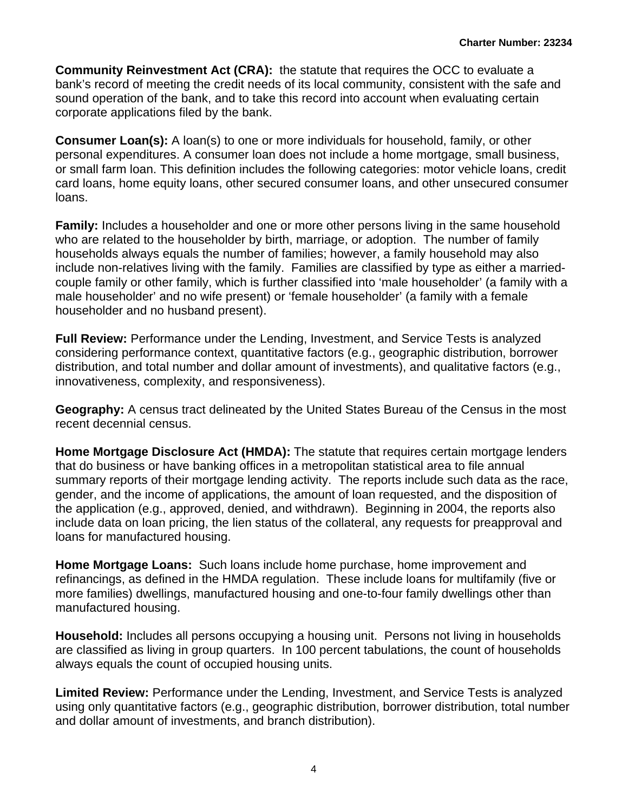**Community Reinvestment Act (CRA):** the statute that requires the OCC to evaluate a bank's record of meeting the credit needs of its local community, consistent with the safe and sound operation of the bank, and to take this record into account when evaluating certain corporate applications filed by the bank.

**Consumer Loan(s):** A loan(s) to one or more individuals for household, family, or other personal expenditures. A consumer loan does not include a home mortgage, small business, or small farm loan. This definition includes the following categories: motor vehicle loans, credit card loans, home equity loans, other secured consumer loans, and other unsecured consumer loans.

**Family:** Includes a householder and one or more other persons living in the same household who are related to the householder by birth, marriage, or adoption. The number of family households always equals the number of families; however, a family household may also include non-relatives living with the family. Families are classified by type as either a marriedcouple family or other family, which is further classified into 'male householder' (a family with a male householder' and no wife present) or 'female householder' (a family with a female householder and no husband present).

**Full Review:** Performance under the Lending, Investment, and Service Tests is analyzed considering performance context, quantitative factors (e.g., geographic distribution, borrower distribution, and total number and dollar amount of investments), and qualitative factors (e.g., innovativeness, complexity, and responsiveness).

**Geography:** A census tract delineated by the United States Bureau of the Census in the most recent decennial census.

**Home Mortgage Disclosure Act (HMDA):** The statute that requires certain mortgage lenders that do business or have banking offices in a metropolitan statistical area to file annual summary reports of their mortgage lending activity. The reports include such data as the race, gender, and the income of applications, the amount of loan requested, and the disposition of the application (e.g., approved, denied, and withdrawn). Beginning in 2004, the reports also include data on loan pricing, the lien status of the collateral, any requests for preapproval and loans for manufactured housing.

**Home Mortgage Loans:** Such loans include home purchase, home improvement and refinancings, as defined in the HMDA regulation. These include loans for multifamily (five or more families) dwellings, manufactured housing and one-to-four family dwellings other than manufactured housing.

**Household:** Includes all persons occupying a housing unit. Persons not living in households are classified as living in group quarters. In 100 percent tabulations, the count of households always equals the count of occupied housing units.

**Limited Review:** Performance under the Lending, Investment, and Service Tests is analyzed using only quantitative factors (e.g., geographic distribution, borrower distribution, total number and dollar amount of investments, and branch distribution).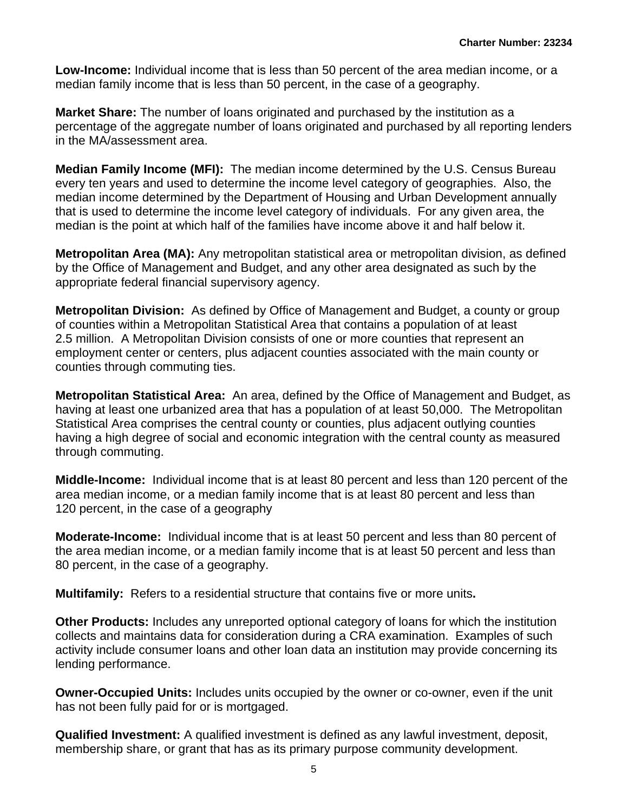**Low-Income:** Individual income that is less than 50 percent of the area median income, or a median family income that is less than 50 percent, in the case of a geography.

**Market Share:** The number of loans originated and purchased by the institution as a percentage of the aggregate number of loans originated and purchased by all reporting lenders in the MA/assessment area.

**Median Family Income (MFI):** The median income determined by the U.S. Census Bureau every ten years and used to determine the income level category of geographies. Also, the median income determined by the Department of Housing and Urban Development annually that is used to determine the income level category of individuals. For any given area, the median is the point at which half of the families have income above it and half below it.

**Metropolitan Area (MA):** Any metropolitan statistical area or metropolitan division, as defined by the Office of Management and Budget, and any other area designated as such by the appropriate federal financial supervisory agency.

**Metropolitan Division:** As defined by Office of Management and Budget, a county or group of counties within a Metropolitan Statistical Area that contains a population of at least 2.5 million. A Metropolitan Division consists of one or more counties that represent an employment center or centers, plus adjacent counties associated with the main county or counties through commuting ties.

**Metropolitan Statistical Area:** An area, defined by the Office of Management and Budget, as having at least one urbanized area that has a population of at least 50,000. The Metropolitan Statistical Area comprises the central county or counties, plus adjacent outlying counties having a high degree of social and economic integration with the central county as measured through commuting.

**Middle-Income:** Individual income that is at least 80 percent and less than 120 percent of the area median income, or a median family income that is at least 80 percent and less than 120 percent, in the case of a geography

**Moderate-Income:** Individual income that is at least 50 percent and less than 80 percent of the area median income, or a median family income that is at least 50 percent and less than 80 percent, in the case of a geography.

**Multifamily:** Refers to a residential structure that contains five or more units**.** 

**Other Products:** Includes any unreported optional category of loans for which the institution collects and maintains data for consideration during a CRA examination. Examples of such activity include consumer loans and other loan data an institution may provide concerning its lending performance.

**Owner-Occupied Units:** Includes units occupied by the owner or co-owner, even if the unit has not been fully paid for or is mortgaged.

**Qualified Investment:** A qualified investment is defined as any lawful investment, deposit, membership share, or grant that has as its primary purpose community development.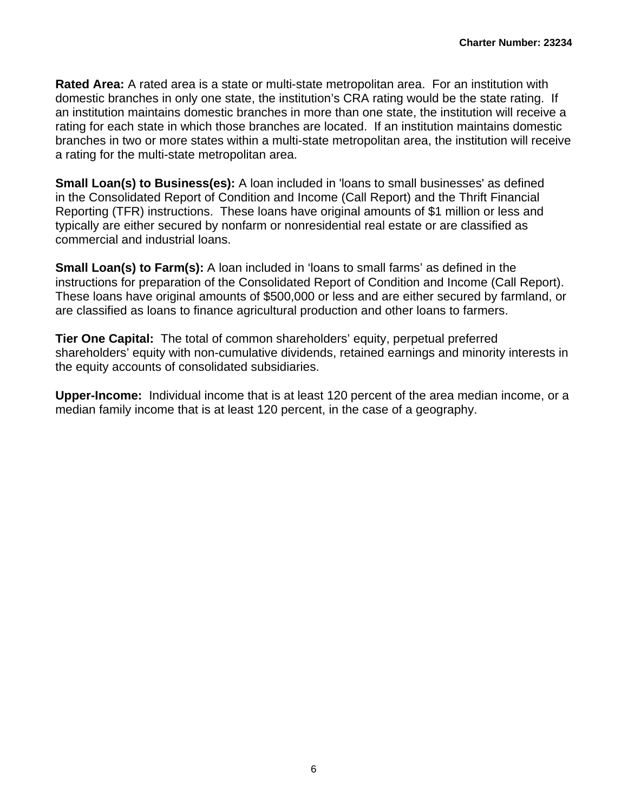a rating for the multi-state metropolitan area. **Rated Area:** A rated area is a state or multi-state metropolitan area. For an institution with domestic branches in only one state, the institution's CRA rating would be the state rating. If an institution maintains domestic branches in more than one state, the institution will receive a rating for each state in which those branches are located. If an institution maintains domestic branches in two or more states within a multi-state metropolitan area, the institution will receive

**Small Loan(s) to Business(es):** A loan included in 'loans to small businesses' as defined in the Consolidated Report of Condition and Income (Call Report) and the Thrift Financial Reporting (TFR) instructions. These loans have original amounts of \$1 million or less and typically are either secured by nonfarm or nonresidential real estate or are classified as commercial and industrial loans.

**Small Loan(s) to Farm(s):** A loan included in 'loans to small farms' as defined in the instructions for preparation of the Consolidated Report of Condition and Income (Call Report). These loans have original amounts of \$500,000 or less and are either secured by farmland, or are classified as loans to finance agricultural production and other loans to farmers.

**Tier One Capital:** The total of common shareholders' equity, perpetual preferred shareholders' equity with non-cumulative dividends, retained earnings and minority interests in the equity accounts of consolidated subsidiaries.

**Upper-Income:** Individual income that is at least 120 percent of the area median income, or a median family income that is at least 120 percent, in the case of a geography.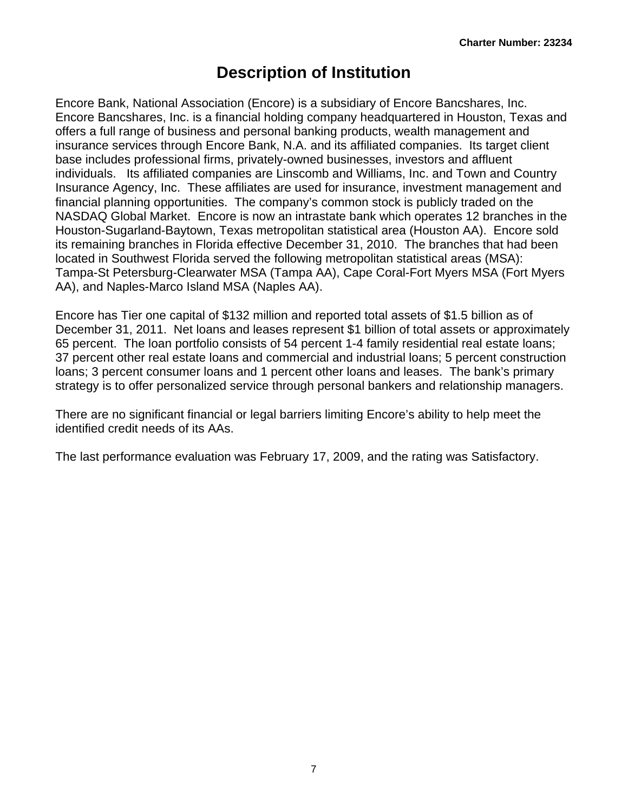# **Description of Institution**

<span id="page-7-0"></span> Encore Bank, National Association (Encore) is a subsidiary of Encore Bancshares, Inc. Encore Bancshares, Inc. is a financial holding company headquartered in Houston, Texas and offers a full range of business and personal banking products, wealth management and insurance services through Encore Bank, N.A. and its affiliated companies. Its target client base includes professional firms, privately-owned businesses, investors and affluent individuals. Its affiliated companies are Linscomb and Williams, Inc. and Town and Country Insurance Agency, Inc. These affiliates are used for insurance, investment management and financial planning opportunities. The company's common stock is publicly traded on the NASDAQ Global Market. Encore is now an intrastate bank which operates 12 branches in the Houston-Sugarland-Baytown, Texas metropolitan statistical area (Houston AA). Encore sold its remaining branches in Florida effective December 31, 2010. The branches that had been located in Southwest Florida served the following metropolitan statistical areas (MSA): Tampa-St Petersburg-Clearwater MSA (Tampa AA), Cape Coral-Fort Myers MSA (Fort Myers AA), and Naples-Marco Island MSA (Naples AA).

Encore has Tier one capital of \$132 million and reported total assets of \$1.5 billion as of December 31, 2011. Net loans and leases represent \$1 billion of total assets or approximately 65 percent. The loan portfolio consists of 54 percent 1-4 family residential real estate loans; 37 percent other real estate loans and commercial and industrial loans; 5 percent construction loans; 3 percent consumer loans and 1 percent other loans and leases. The bank's primary strategy is to offer personalized service through personal bankers and relationship managers.

There are no significant financial or legal barriers limiting Encore's ability to help meet the identified credit needs of its AAs.

The last performance evaluation was February 17, 2009, and the rating was Satisfactory.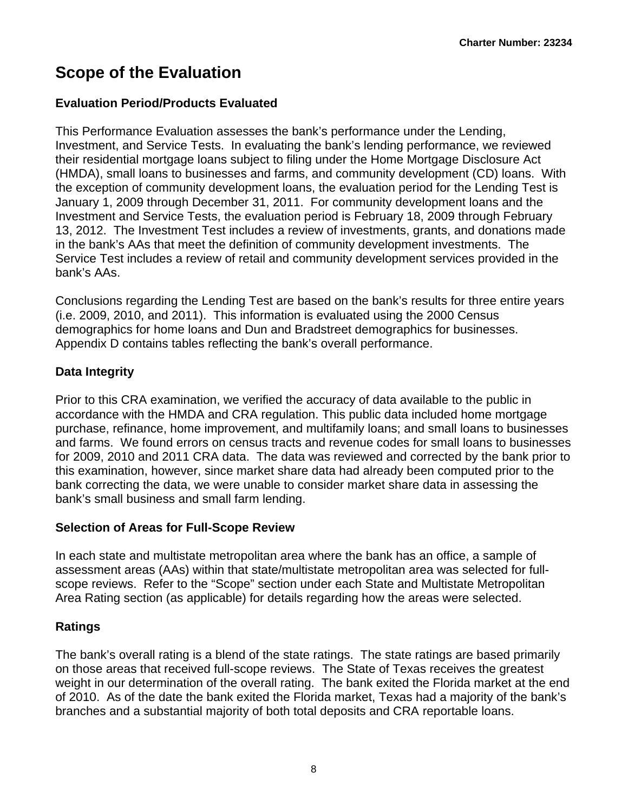# <span id="page-8-0"></span>**Scope of the Evaluation**

### **Evaluation Period/Products Evaluated**

This Performance Evaluation assesses the bank's performance under the Lending, Investment, and Service Tests. In evaluating the bank's lending performance, we reviewed their residential mortgage loans subject to filing under the Home Mortgage Disclosure Act (HMDA), small loans to businesses and farms, and community development (CD) loans. With the exception of community development loans, the evaluation period for the Lending Test is January 1, 2009 through December 31, 2011. For community development loans and the Investment and Service Tests, the evaluation period is February 18, 2009 through February 13, 2012. The Investment Test includes a review of investments, grants, and donations made in the bank's AAs that meet the definition of community development investments. The Service Test includes a review of retail and community development services provided in the bank's AAs.

Conclusions regarding the Lending Test are based on the bank's results for three entire years (i.e. 2009, 2010, and 2011). This information is evaluated using the 2000 Census demographics for home loans and Dun and Bradstreet demographics for businesses. Appendix D contains tables reflecting the bank's overall performance.

### **Data Integrity**

Prior to this CRA examination, we verified the accuracy of data available to the public in accordance with the HMDA and CRA regulation. This public data included home mortgage purchase, refinance, home improvement, and multifamily loans; and small loans to businesses and farms. We found errors on census tracts and revenue codes for small loans to businesses for 2009, 2010 and 2011 CRA data. The data was reviewed and corrected by the bank prior to this examination, however, since market share data had already been computed prior to the bank correcting the data, we were unable to consider market share data in assessing the bank's small business and small farm lending.

### **Selection of Areas for Full-Scope Review**

In each state and multistate metropolitan area where the bank has an office, a sample of assessment areas (AAs) within that state/multistate metropolitan area was selected for fullscope reviews. Refer to the "Scope" section under each State and Multistate Metropolitan Area Rating section (as applicable) for details regarding how the areas were selected.

### **Ratings**

The bank's overall rating is a blend of the state ratings. The state ratings are based primarily on those areas that received full-scope reviews. The State of Texas receives the greatest weight in our determination of the overall rating. The bank exited the Florida market at the end of 2010. As of the date the bank exited the Florida market, Texas had a majority of the bank's branches and a substantial majority of both total deposits and CRA reportable loans.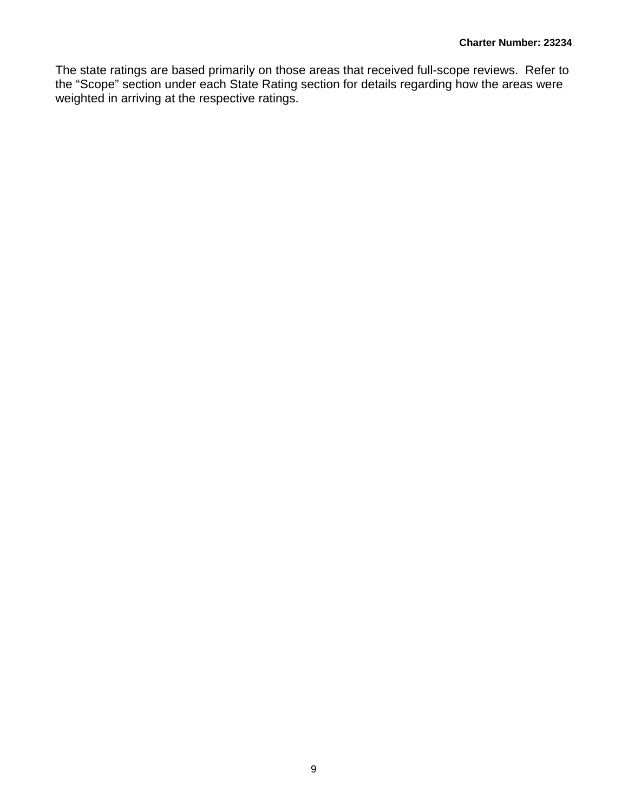The state ratings are based primarily on those areas that received full-scope reviews. Refer to the "Scope" section under each State Rating section for details regarding how the areas were weighted in arriving at the respective ratings.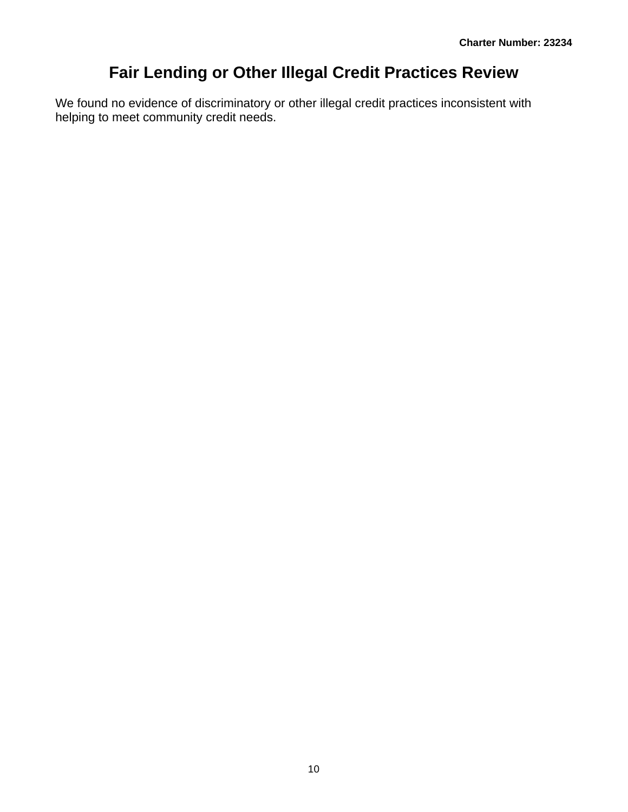# **Fair Lending or Other Illegal Credit Practices Review**

<span id="page-10-0"></span>We found no evidence of discriminatory or other illegal credit practices inconsistent with helping to meet community credit needs.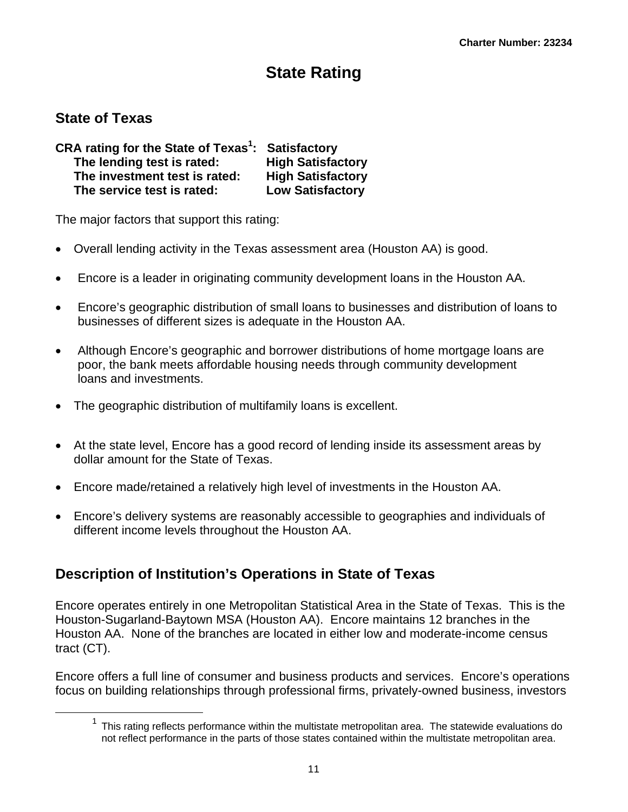# **State Rating**

### **State of Texas**

 $\overline{a}$ 

| CRA rating for the State of Texas <sup>1</sup> : Satisfactory |                          |
|---------------------------------------------------------------|--------------------------|
| The lending test is rated:                                    | <b>High Satisfactory</b> |
| The investment test is rated:                                 | <b>High Satisfactory</b> |
| The service test is rated:                                    | <b>Low Satisfactory</b>  |

The major factors that support this rating:

- Overall lending activity in the Texas assessment area (Houston AA) is good.
- Encore is a leader in originating community development loans in the Houston AA.
- Encore's geographic distribution of small loans to businesses and distribution of loans to businesses of different sizes is adequate in the Houston AA.
- Although Encore's geographic and borrower distributions of home mortgage loans are poor, the bank meets affordable housing needs through community development loans and investments.
- The geographic distribution of multifamily loans is excellent.
- At the state level, Encore has a good record of lending inside its assessment areas by dollar amount for the State of Texas.
- Encore made/retained a relatively high level of investments in the Houston AA.
- Encore's delivery systems are reasonably accessible to geographies and individuals of different income levels throughout the Houston AA.

## **Description of Institution's Operations in State of Texas**

Encore operates entirely in one Metropolitan Statistical Area in the State of Texas. This is the Houston-Sugarland-Baytown MSA (Houston AA). Encore maintains 12 branches in the Houston AA. None of the branches are located in either low and moderate-income census tract (CT).

Encore offers a full line of consumer and business products and services. Encore's operations focus on building relationships through professional firms, privately-owned business, investors

 $1$  This rating reflects performance within the multistate metropolitan area. The statewide evaluations do not reflect performance in the parts of those states contained within the multistate metropolitan area.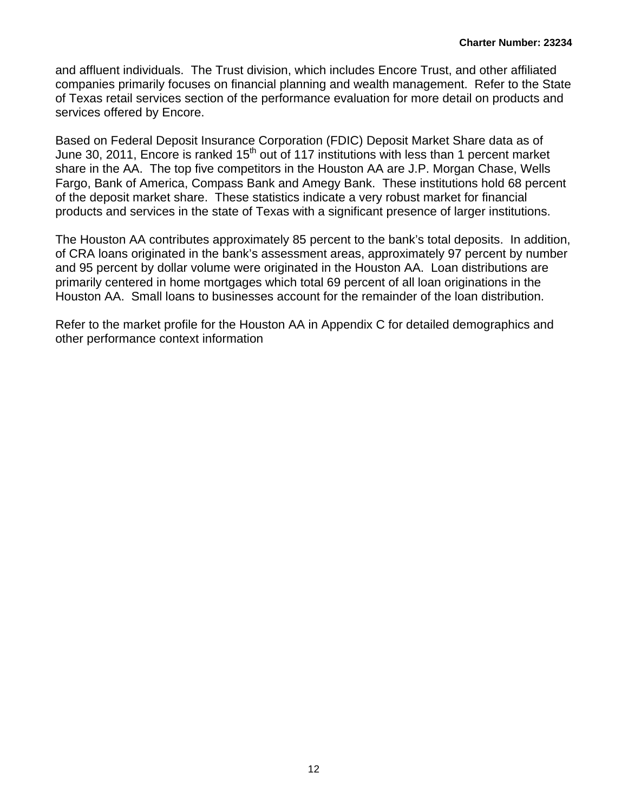and affluent individuals. The Trust division, which includes Encore Trust, and other affiliated companies primarily focuses on financial planning and wealth management. Refer to the State of Texas retail services section of the performance evaluation for more detail on products and services offered by Encore.

Based on Federal Deposit Insurance Corporation (FDIC) Deposit Market Share data as of June 30, 2011, Encore is ranked  $15<sup>th</sup>$  out of 117 institutions with less than 1 percent market share in the AA. The top five competitors in the Houston AA are J.P. Morgan Chase, Wells Fargo, Bank of America, Compass Bank and Amegy Bank. These institutions hold 68 percent of the deposit market share. These statistics indicate a very robust market for financial products and services in the state of Texas with a significant presence of larger institutions.

Houston AA. Small loans to businesses account for the remainder of the loan distribution. The Houston AA contributes approximately 85 percent to the bank's total deposits. In addition, of CRA loans originated in the bank's assessment areas, approximately 97 percent by number and 95 percent by dollar volume were originated in the Houston AA. Loan distributions are primarily centered in home mortgages which total 69 percent of all loan originations in the

Refer to the market profile for the Houston AA in Appendix C for detailed demographics and other performance context information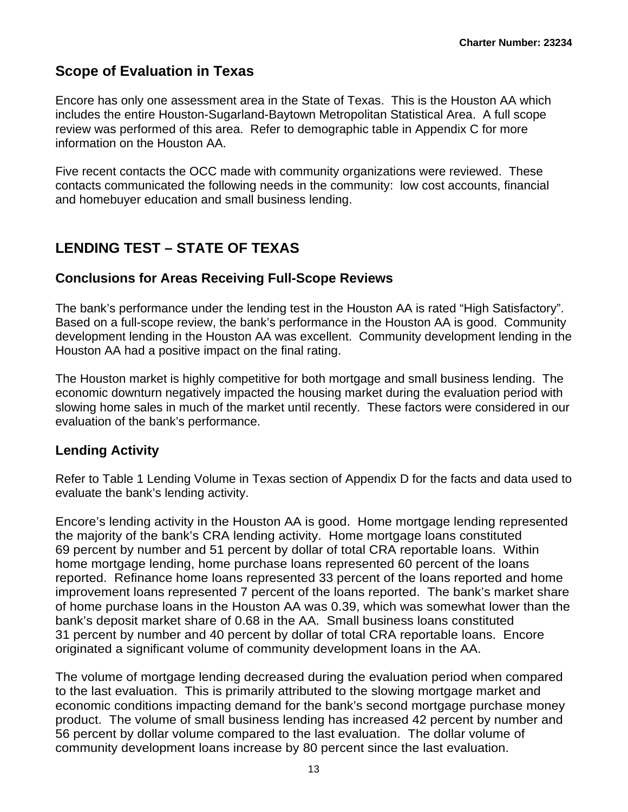### **Scope of Evaluation in Texas**

Encore has only one assessment area in the State of Texas. This is the Houston AA which includes the entire Houston-Sugarland-Baytown Metropolitan Statistical Area. A full scope review was performed of this area. Refer to demographic table in Appendix C for more information on the Houston AA.

Five recent contacts the OCC made with community organizations were reviewed. These contacts communicated the following needs in the community: low cost accounts, financial and homebuyer education and small business lending.

## **LENDING TEST – STATE OF TEXAS**

### **Conclusions for Areas Receiving Full-Scope Reviews**

The bank's performance under the lending test in the Houston AA is rated "High Satisfactory". Based on a full-scope review, the bank's performance in the Houston AA is good. Community development lending in the Houston AA was excellent. Community development lending in the Houston AA had a positive impact on the final rating.

The Houston market is highly competitive for both mortgage and small business lending. The economic downturn negatively impacted the housing market during the evaluation period with slowing home sales in much of the market until recently. These factors were considered in our evaluation of the bank's performance.

### **Lending Activity**

Refer to Table 1 Lending Volume in Texas section of Appendix D for the facts and data used to evaluate the bank's lending activity.

Encore's lending activity in the Houston AA is good. Home mortgage lending represented the majority of the bank's CRA lending activity. Home mortgage loans constituted 69 percent by number and 51 percent by dollar of total CRA reportable loans. Within home mortgage lending, home purchase loans represented 60 percent of the loans reported. Refinance home loans represented 33 percent of the loans reported and home improvement loans represented 7 percent of the loans reported. The bank's market share of home purchase loans in the Houston AA was 0.39, which was somewhat lower than the bank's deposit market share of 0.68 in the AA. Small business loans constituted 31 percent by number and 40 percent by dollar of total CRA reportable loans. Encore originated a significant volume of community development loans in the AA.

The volume of mortgage lending decreased during the evaluation period when compared to the last evaluation. This is primarily attributed to the slowing mortgage market and economic conditions impacting demand for the bank's second mortgage purchase money product. The volume of small business lending has increased 42 percent by number and 56 percent by dollar volume compared to the last evaluation. The dollar volume of community development loans increase by 80 percent since the last evaluation.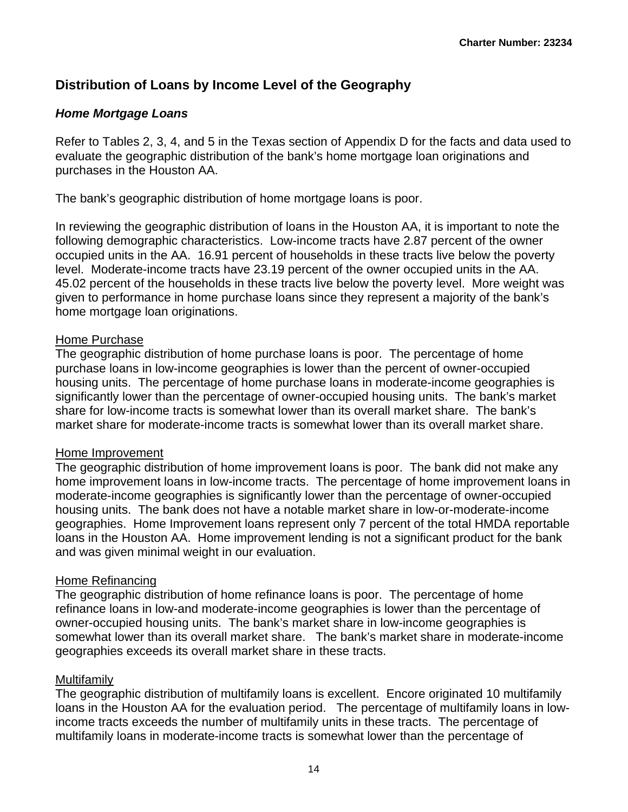### **Distribution of Loans by Income Level of the Geography**

### *Home Mortgage Loans*

Refer to Tables 2, 3, 4, and 5 in the Texas section of Appendix D for the facts and data used to evaluate the geographic distribution of the bank's home mortgage loan originations and purchases in the Houston AA.

The bank's geographic distribution of home mortgage loans is poor.

In reviewing the geographic distribution of loans in the Houston AA, it is important to note the following demographic characteristics. Low-income tracts have 2.87 percent of the owner occupied units in the AA. 16.91 percent of households in these tracts live below the poverty level. Moderate-income tracts have 23.19 percent of the owner occupied units in the AA. 45.02 percent of the households in these tracts live below the poverty level. More weight was given to performance in home purchase loans since they represent a majority of the bank's home mortgage loan originations.

### Home Purchase

The geographic distribution of home purchase loans is poor. The percentage of home purchase loans in low-income geographies is lower than the percent of owner-occupied housing units. The percentage of home purchase loans in moderate-income geographies is significantly lower than the percentage of owner-occupied housing units. The bank's market share for low-income tracts is somewhat lower than its overall market share. The bank's market share for moderate-income tracts is somewhat lower than its overall market share.

### Home Improvement

The geographic distribution of home improvement loans is poor. The bank did not make any home improvement loans in low-income tracts. The percentage of home improvement loans in moderate-income geographies is significantly lower than the percentage of owner-occupied housing units. The bank does not have a notable market share in low-or-moderate-income geographies. Home Improvement loans represent only 7 percent of the total HMDA reportable loans in the Houston AA. Home improvement lending is not a significant product for the bank and was given minimal weight in our evaluation.

### Home Refinancing

The geographic distribution of home refinance loans is poor. The percentage of home refinance loans in low-and moderate-income geographies is lower than the percentage of owner-occupied housing units. The bank's market share in low-income geographies is somewhat lower than its overall market share. The bank's market share in moderate-income geographies exceeds its overall market share in these tracts.

### Multifamily

The geographic distribution of multifamily loans is excellent. Encore originated 10 multifamily loans in the Houston AA for the evaluation period. The percentage of multifamily loans in lowincome tracts exceeds the number of multifamily units in these tracts. The percentage of multifamily loans in moderate-income tracts is somewhat lower than the percentage of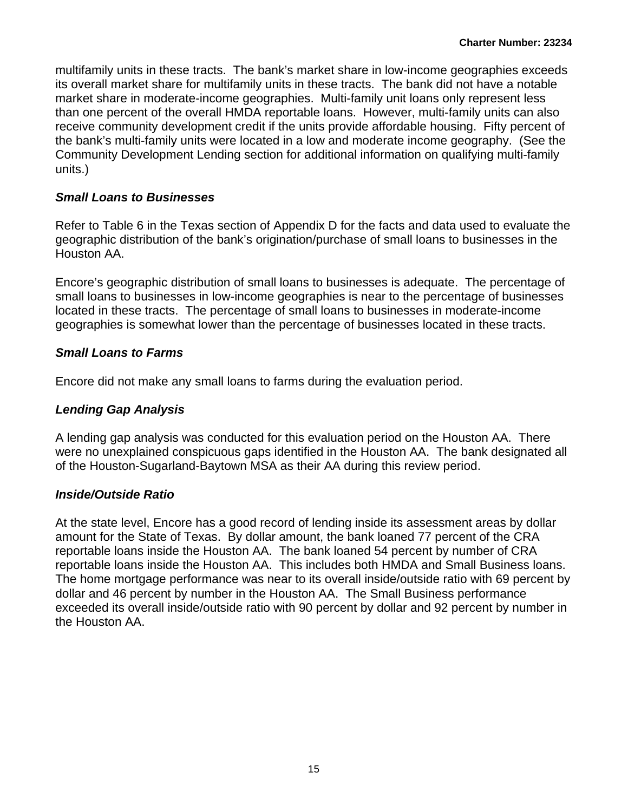multifamily units in these tracts. The bank's market share in low-income geographies exceeds its overall market share for multifamily units in these tracts. The bank did not have a notable market share in moderate-income geographies. Multi-family unit loans only represent less than one percent of the overall HMDA reportable loans. However, multi-family units can also receive community development credit if the units provide affordable housing. Fifty percent of the bank's multi-family units were located in a low and moderate income geography. (See the Community Development Lending section for additional information on qualifying multi-family units.)

### *Small Loans to Businesses*

Refer to Table 6 in the Texas section of Appendix D for the facts and data used to evaluate the geographic distribution of the bank's origination/purchase of small loans to businesses in the Houston AA.

Encore's geographic distribution of small loans to businesses is adequate. The percentage of small loans to businesses in low-income geographies is near to the percentage of businesses located in these tracts. The percentage of small loans to businesses in moderate-income geographies is somewhat lower than the percentage of businesses located in these tracts.

### *Small Loans to Farms*

Encore did not make any small loans to farms during the evaluation period.

### *Lending Gap Analysis*

A lending gap analysis was conducted for this evaluation period on the Houston AA. There were no unexplained conspicuous gaps identified in the Houston AA. The bank designated all of the Houston-Sugarland-Baytown MSA as their AA during this review period.

### *Inside/Outside Ratio*

At the state level, Encore has a good record of lending inside its assessment areas by dollar amount for the State of Texas. By dollar amount, the bank loaned 77 percent of the CRA reportable loans inside the Houston AA. The bank loaned 54 percent by number of CRA reportable loans inside the Houston AA. This includes both HMDA and Small Business loans. The home mortgage performance was near to its overall inside/outside ratio with 69 percent by dollar and 46 percent by number in the Houston AA. The Small Business performance exceeded its overall inside/outside ratio with 90 percent by dollar and 92 percent by number in the Houston AA.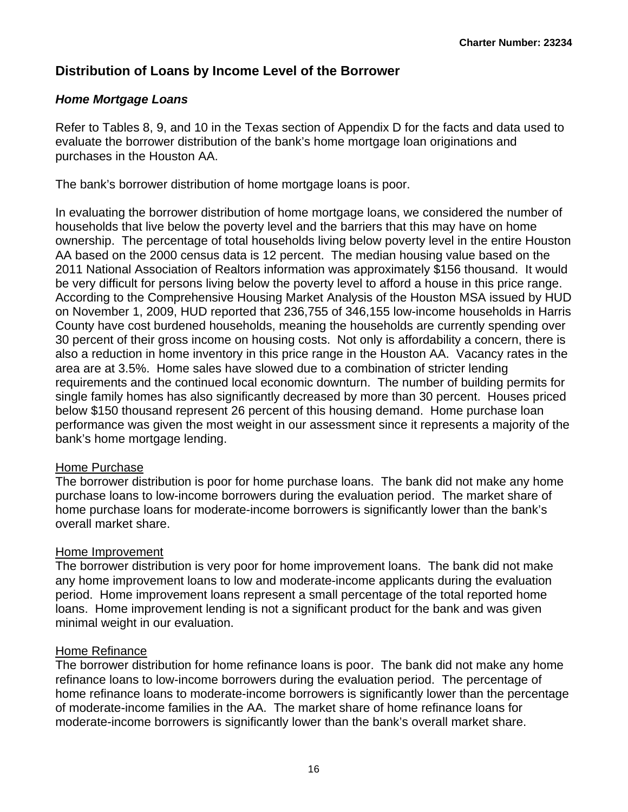### **Distribution of Loans by Income Level of the Borrower**

### *Home Mortgage Loans*

Refer to Tables 8, 9, and 10 in the Texas section of Appendix D for the facts and data used to evaluate the borrower distribution of the bank's home mortgage loan originations and purchases in the Houston AA.

The bank's borrower distribution of home mortgage loans is poor.

In evaluating the borrower distribution of home mortgage loans, we considered the number of households that live below the poverty level and the barriers that this may have on home ownership. The percentage of total households living below poverty level in the entire Houston AA based on the 2000 census data is 12 percent. The median housing value based on the 2011 National Association of Realtors information was approximately \$156 thousand. It would be very difficult for persons living below the poverty level to afford a house in this price range. According to the Comprehensive Housing Market Analysis of the Houston MSA issued by HUD on November 1, 2009, HUD reported that 236,755 of 346,155 low-income households in Harris County have cost burdened households, meaning the households are currently spending over 30 percent of their gross income on housing costs. Not only is affordability a concern, there is also a reduction in home inventory in this price range in the Houston AA. Vacancy rates in the area are at 3.5%. Home sales have slowed due to a combination of stricter lending requirements and the continued local economic downturn. The number of building permits for single family homes has also significantly decreased by more than 30 percent. Houses priced below \$150 thousand represent 26 percent of this housing demand. Home purchase loan performance was given the most weight in our assessment since it represents a majority of the bank's home mortgage lending.

### Home Purchase

The borrower distribution is poor for home purchase loans. The bank did not make any home purchase loans to low-income borrowers during the evaluation period. The market share of home purchase loans for moderate-income borrowers is significantly lower than the bank's overall market share.

### Home Improvement

The borrower distribution is very poor for home improvement loans. The bank did not make any home improvement loans to low and moderate-income applicants during the evaluation period. Home improvement loans represent a small percentage of the total reported home loans. Home improvement lending is not a significant product for the bank and was given minimal weight in our evaluation.

### Home Refinance

The borrower distribution for home refinance loans is poor. The bank did not make any home refinance loans to low-income borrowers during the evaluation period. The percentage of home refinance loans to moderate-income borrowers is significantly lower than the percentage of moderate-income families in the AA. The market share of home refinance loans for moderate-income borrowers is significantly lower than the bank's overall market share.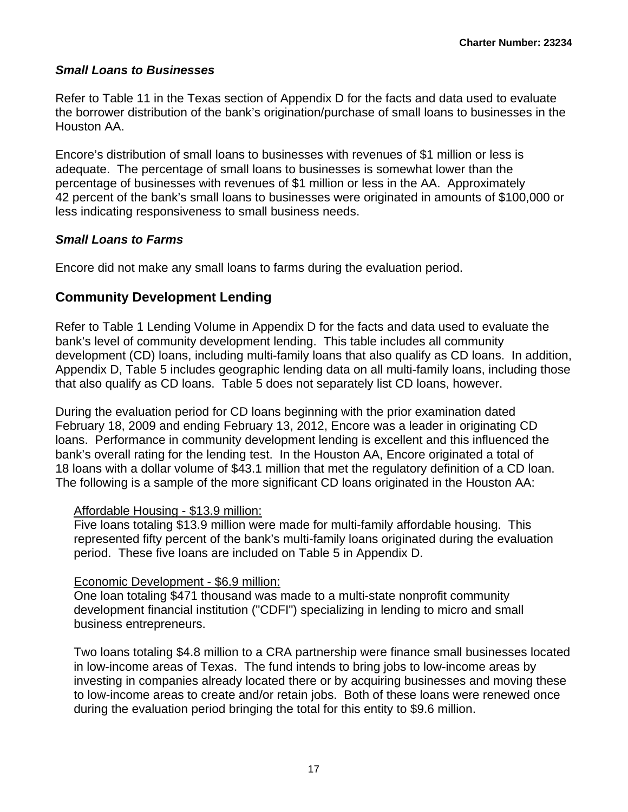### *Small Loans to Businesses*

Refer to Table 11 in the Texas section of Appendix D for the facts and data used to evaluate the borrower distribution of the bank's origination/purchase of small loans to businesses in the Houston AA.

Encore's distribution of small loans to businesses with revenues of \$1 million or less is adequate. The percentage of small loans to businesses is somewhat lower than the percentage of businesses with revenues of \$1 million or less in the AA. Approximately 42 percent of the bank's small loans to businesses were originated in amounts of \$100,000 or less indicating responsiveness to small business needs.

### *Small Loans to Farms*

Encore did not make any small loans to farms during the evaluation period.

### **Community Development Lending**

Refer to Table 1 Lending Volume in Appendix D for the facts and data used to evaluate the bank's level of community development lending. This table includes all community development (CD) loans, including multi-family loans that also qualify as CD loans. In addition, Appendix D, Table 5 includes geographic lending data on all multi-family loans, including those that also qualify as CD loans. Table 5 does not separately list CD loans, however.

During the evaluation period for CD loans beginning with the prior examination dated February 18, 2009 and ending February 13, 2012, Encore was a leader in originating CD loans. Performance in community development lending is excellent and this influenced the bank's overall rating for the lending test. In the Houston AA, Encore originated a total of 18 loans with a dollar volume of \$43.1 million that met the regulatory definition of a CD loan. The following is a sample of the more significant CD loans originated in the Houston AA:

### Affordable Housing - \$13.9 million:

Five loans totaling \$13.9 million were made for multi-family affordable housing. This represented fifty percent of the bank's multi-family loans originated during the evaluation period. These five loans are included on Table 5 in Appendix D.

### Economic Development - \$6.9 million:

One loan totaling \$471 thousand was made to a multi-state nonprofit community development financial institution ("CDFI") specializing in lending to micro and small business entrepreneurs.

Two loans totaling \$4.8 million to a CRA partnership were finance small businesses located in low-income areas of Texas. The fund intends to bring jobs to low-income areas by investing in companies already located there or by acquiring businesses and moving these to low-income areas to create and/or retain jobs. Both of these loans were renewed once during the evaluation period bringing the total for this entity to \$9.6 million.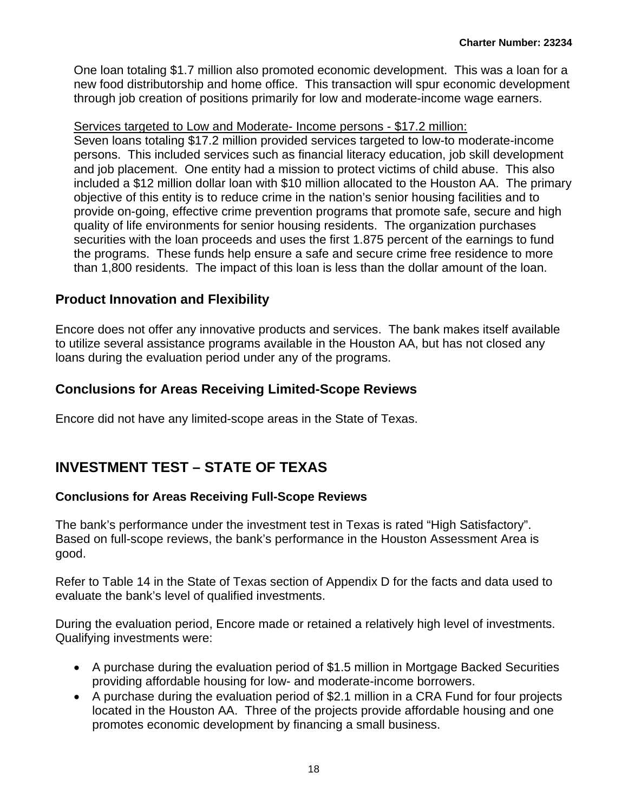One loan totaling \$1.7 million also promoted economic development. This was a loan for a new food distributorship and home office. This transaction will spur economic development through job creation of positions primarily for low and moderate-income wage earners.

### Services targeted to Low and Moderate- Income persons - \$17.2 million:

Seven loans totaling \$17.2 million provided services targeted to low-to moderate-income persons. This included services such as financial literacy education, job skill development and job placement. One entity had a mission to protect victims of child abuse. This also included a \$12 million dollar loan with \$10 million allocated to the Houston AA. The primary objective of this entity is to reduce crime in the nation's senior housing facilities and to provide on-going, effective crime prevention programs that promote safe, secure and high quality of life environments for senior housing residents. The organization purchases securities with the loan proceeds and uses the first 1.875 percent of the earnings to fund the programs. These funds help ensure a safe and secure crime free residence to more than 1,800 residents. The impact of this loan is less than the dollar amount of the loan.

### **Product Innovation and Flexibility**

Encore does not offer any innovative products and services. The bank makes itself available to utilize several assistance programs available in the Houston AA, but has not closed any loans during the evaluation period under any of the programs.

### **Conclusions for Areas Receiving Limited-Scope Reviews**

Encore did not have any limited-scope areas in the State of Texas.

## **INVESTMENT TEST – STATE OF TEXAS**

### **Conclusions for Areas Receiving Full-Scope Reviews**

The bank's performance under the investment test in Texas is rated "High Satisfactory". Based on full-scope reviews, the bank's performance in the Houston Assessment Area is good.

Refer to Table 14 in the State of Texas section of Appendix D for the facts and data used to evaluate the bank's level of qualified investments.

During the evaluation period, Encore made or retained a relatively high level of investments. Qualifying investments were:

- A purchase during the evaluation period of \$1.5 million in Mortgage Backed Securities providing affordable housing for low- and moderate-income borrowers.
- A purchase during the evaluation period of \$2.1 million in a CRA Fund for four projects located in the Houston AA. Three of the projects provide affordable housing and one promotes economic development by financing a small business.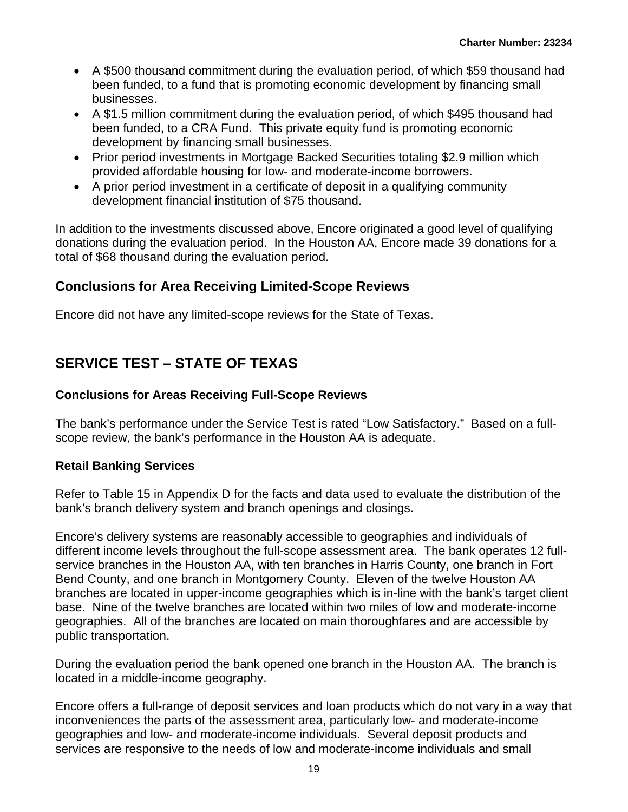- A \$500 thousand commitment during the evaluation period, of which \$59 thousand had been funded, to a fund that is promoting economic development by financing small businesses.
- A \$1.5 million commitment during the evaluation period, of which \$495 thousand had been funded, to a CRA Fund. This private equity fund is promoting economic development by financing small businesses.
- Prior period investments in Mortgage Backed Securities totaling \$2.9 million which provided affordable housing for low- and moderate-income borrowers.
- A prior period investment in a certificate of deposit in a qualifying community development financial institution of \$75 thousand.

In addition to the investments discussed above, Encore originated a good level of qualifying donations during the evaluation period. In the Houston AA, Encore made 39 donations for a total of \$68 thousand during the evaluation period.

### **Conclusions for Area Receiving Limited-Scope Reviews**

Encore did not have any limited-scope reviews for the State of Texas.

## **SERVICE TEST – STATE OF TEXAS**

### **Conclusions for Areas Receiving Full-Scope Reviews**

The bank's performance under the Service Test is rated "Low Satisfactory." Based on a fullscope review, the bank's performance in the Houston AA is adequate.

### **Retail Banking Services**

Refer to Table 15 in Appendix D for the facts and data used to evaluate the distribution of the bank's branch delivery system and branch openings and closings.

Encore's delivery systems are reasonably accessible to geographies and individuals of different income levels throughout the full-scope assessment area. The bank operates 12 fullservice branches in the Houston AA, with ten branches in Harris County, one branch in Fort Bend County, and one branch in Montgomery County. Eleven of the twelve Houston AA branches are located in upper-income geographies which is in-line with the bank's target client base. Nine of the twelve branches are located within two miles of low and moderate-income geographies. All of the branches are located on main thoroughfares and are accessible by public transportation.

During the evaluation period the bank opened one branch in the Houston AA. The branch is located in a middle-income geography.

Encore offers a full-range of deposit services and loan products which do not vary in a way that inconveniences the parts of the assessment area, particularly low- and moderate-income geographies and low- and moderate-income individuals. Several deposit products and services are responsive to the needs of low and moderate-income individuals and small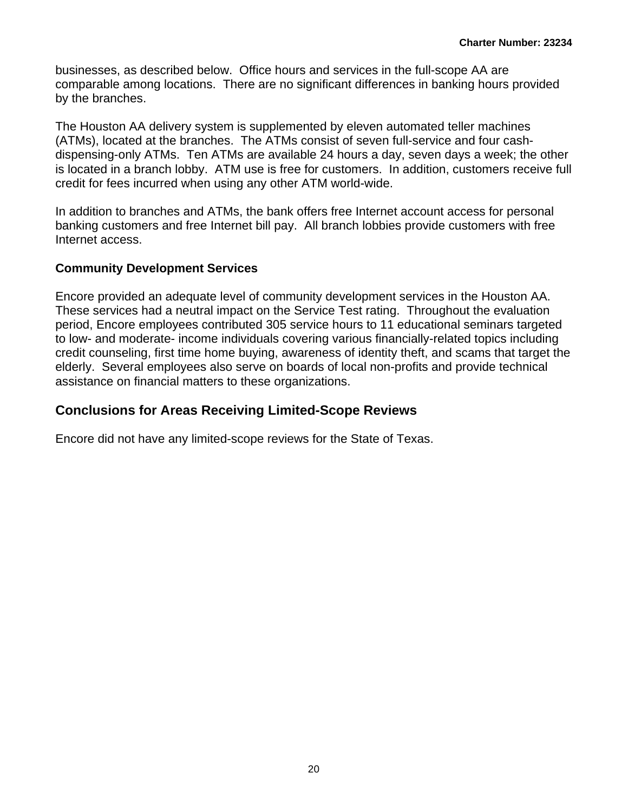businesses, as described below. Office hours and services in the full-scope AA are comparable among locations. There are no significant differences in banking hours provided by the branches.

The Houston AA delivery system is supplemented by eleven automated teller machines (ATMs), located at the branches. The ATMs consist of seven full-service and four cashdispensing-only ATMs. Ten ATMs are available 24 hours a day, seven days a week; the other is located in a branch lobby. ATM use is free for customers. In addition, customers receive full credit for fees incurred when using any other ATM world-wide.

In addition to branches and ATMs, the bank offers free Internet account access for personal banking customers and free Internet bill pay. All branch lobbies provide customers with free Internet access.

### **Community Development Services**

Encore provided an adequate level of community development services in the Houston AA. These services had a neutral impact on the Service Test rating. Throughout the evaluation period, Encore employees contributed 305 service hours to 11 educational seminars targeted to low- and moderate- income individuals covering various financially-related topics including credit counseling, first time home buying, awareness of identity theft, and scams that target the elderly. Several employees also serve on boards of local non-profits and provide technical assistance on financial matters to these organizations.

### **Conclusions for Areas Receiving Limited-Scope Reviews**

Encore did not have any limited-scope reviews for the State of Texas.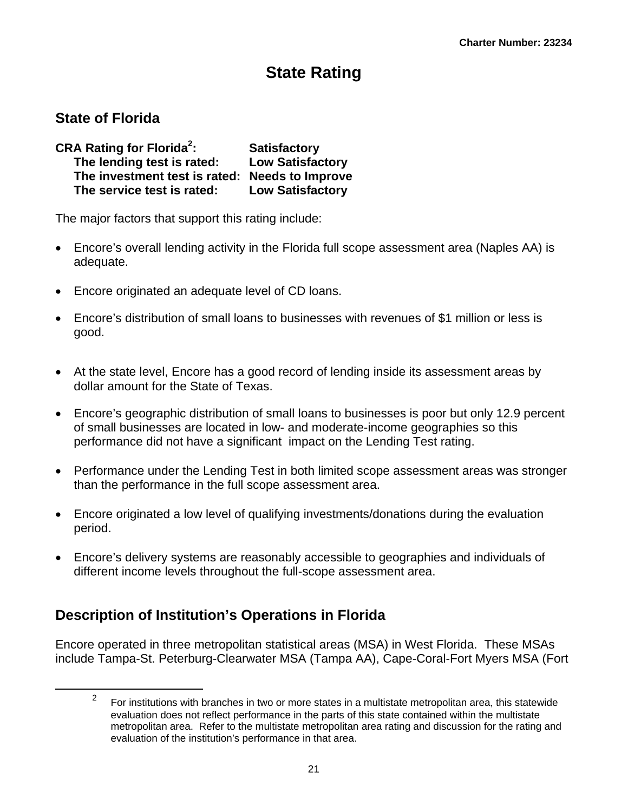# **State Rating**

### <span id="page-21-0"></span>**State of Florida**

 $\overline{a}$ 

| <b>CRA Rating for Florida<sup>2</sup>:</b>     | <b>Satisfactory</b>     |
|------------------------------------------------|-------------------------|
| The lending test is rated:                     | <b>Low Satisfactory</b> |
| The investment test is rated: Needs to Improve |                         |
| The service test is rated:                     | <b>Low Satisfactory</b> |

The major factors that support this rating include:

- Encore's overall lending activity in the Florida full scope assessment area (Naples AA) is adequate.
- Encore originated an adequate level of CD loans.
- Encore's distribution of small loans to businesses with revenues of \$1 million or less is good.
- At the state level, Encore has a good record of lending inside its assessment areas by dollar amount for the State of Texas.
- Encore's geographic distribution of small loans to businesses is poor but only 12.9 percent of small businesses are located in low- and moderate-income geographies so this performance did not have a significant impact on the Lending Test rating.
- Performance under the Lending Test in both limited scope assessment areas was stronger than the performance in the full scope assessment area.
- Encore originated a low level of qualifying investments/donations during the evaluation period.
- Encore's delivery systems are reasonably accessible to geographies and individuals of different income levels throughout the full-scope assessment area.

## **Description of Institution's Operations in Florida**

Encore operated in three metropolitan statistical areas (MSA) in West Florida. These MSAs include Tampa-St. Peterburg-Clearwater MSA (Tampa AA), Cape-Coral-Fort Myers MSA (Fort

<sup>&</sup>lt;sup>2</sup> For institutions with branches in two or more states in a multistate metropolitan area, this statewide evaluation does not reflect performance in the parts of this state contained within the multistate metropolitan area. Refer to the multistate metropolitan area rating and discussion for the rating and evaluation of the institution's performance in that area.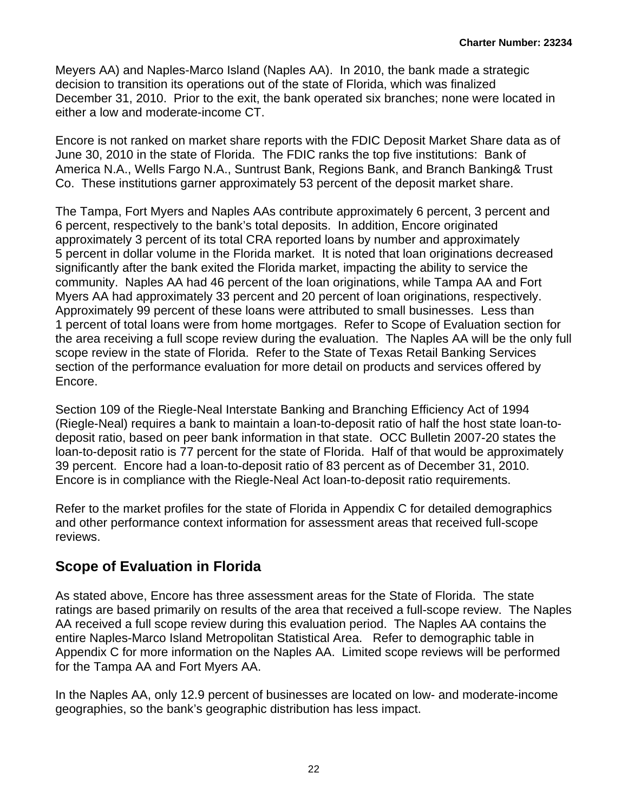Meyers AA) and Naples-Marco Island (Naples AA). In 2010, the bank made a strategic decision to transition its operations out of the state of Florida, which was finalized December 31, 2010. Prior to the exit, the bank operated six branches; none were located in either a low and moderate-income CT.

Encore is not ranked on market share reports with the FDIC Deposit Market Share data as of June 30, 2010 in the state of Florida. The FDIC ranks the top five institutions: Bank of America N.A., Wells Fargo N.A., Suntrust Bank, Regions Bank, and Branch Banking& Trust Co. These institutions garner approximately 53 percent of the deposit market share.

The Tampa, Fort Myers and Naples AAs contribute approximately 6 percent, 3 percent and 6 percent, respectively to the bank's total deposits. In addition, Encore originated approximately 3 percent of its total CRA reported loans by number and approximately 5 percent in dollar volume in the Florida market. It is noted that loan originations decreased significantly after the bank exited the Florida market, impacting the ability to service the community. Naples AA had 46 percent of the loan originations, while Tampa AA and Fort Myers AA had approximately 33 percent and 20 percent of loan originations, respectively. Approximately 99 percent of these loans were attributed to small businesses. Less than 1 percent of total loans were from home mortgages. Refer to Scope of Evaluation section for the area receiving a full scope review during the evaluation. The Naples AA will be the only full scope review in the state of Florida. Refer to the State of Texas Retail Banking Services section of the performance evaluation for more detail on products and services offered by Encore.

Section 109 of the Riegle-Neal Interstate Banking and Branching Efficiency Act of 1994 (Riegle-Neal) requires a bank to maintain a loan-to-deposit ratio of half the host state loan-todeposit ratio, based on peer bank information in that state. OCC Bulletin 2007-20 states the loan-to-deposit ratio is 77 percent for the state of Florida. Half of that would be approximately 39 percent. Encore had a loan-to-deposit ratio of 83 percent as of December 31, 2010. Encore is in compliance with the Riegle-Neal Act loan-to-deposit ratio requirements.

Refer to the market profiles for the state of Florida in Appendix C for detailed demographics and other performance context information for assessment areas that received full-scope reviews.

## **Scope of Evaluation in Florida**

As stated above, Encore has three assessment areas for the State of Florida. The state ratings are based primarily on results of the area that received a full-scope review. The Naples AA received a full scope review during this evaluation period. The Naples AA contains the entire Naples-Marco Island Metropolitan Statistical Area. Refer to demographic table in Appendix C for more information on the Naples AA. Limited scope reviews will be performed for the Tampa AA and Fort Myers AA.

In the Naples AA, only 12.9 percent of businesses are located on low- and moderate-income geographies, so the bank's geographic distribution has less impact.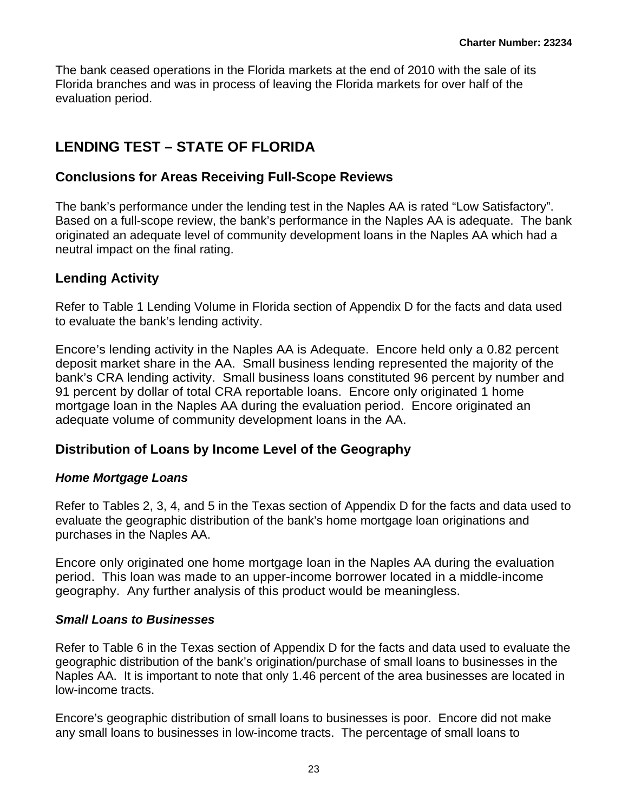The bank ceased operations in the Florida markets at the end of 2010 with the sale of its Florida branches and was in process of leaving the Florida markets for over half of the evaluation period.

## **LENDING TEST – STATE OF FLORIDA**

### **Conclusions for Areas Receiving Full-Scope Reviews**

The bank's performance under the lending test in the Naples AA is rated "Low Satisfactory". Based on a full-scope review, the bank's performance in the Naples AA is adequate. The bank originated an adequate level of community development loans in the Naples AA which had a neutral impact on the final rating.

### **Lending Activity**

Refer to Table 1 Lending Volume in Florida section of Appendix D for the facts and data used to evaluate the bank's lending activity.

Encore's lending activity in the Naples AA is Adequate. Encore held only a 0.82 percent deposit market share in the AA. Small business lending represented the majority of the bank's CRA lending activity. Small business loans constituted 96 percent by number and 91 percent by dollar of total CRA reportable loans. Encore only originated 1 home mortgage loan in the Naples AA during the evaluation period. Encore originated an adequate volume of community development loans in the AA.

### **Distribution of Loans by Income Level of the Geography**

### *Home Mortgage Loans*

Refer to Tables 2, 3, 4, and 5 in the Texas section of Appendix D for the facts and data used to evaluate the geographic distribution of the bank's home mortgage loan originations and purchases in the Naples AA.

Encore only originated one home mortgage loan in the Naples AA during the evaluation period. This loan was made to an upper-income borrower located in a middle-income geography. Any further analysis of this product would be meaningless.

### *Small Loans to Businesses*

Refer to Table 6 in the Texas section of Appendix D for the facts and data used to evaluate the geographic distribution of the bank's origination/purchase of small loans to businesses in the Naples AA. It is important to note that only 1.46 percent of the area businesses are located in low-income tracts.

Encore's geographic distribution of small loans to businesses is poor. Encore did not make any small loans to businesses in low-income tracts. The percentage of small loans to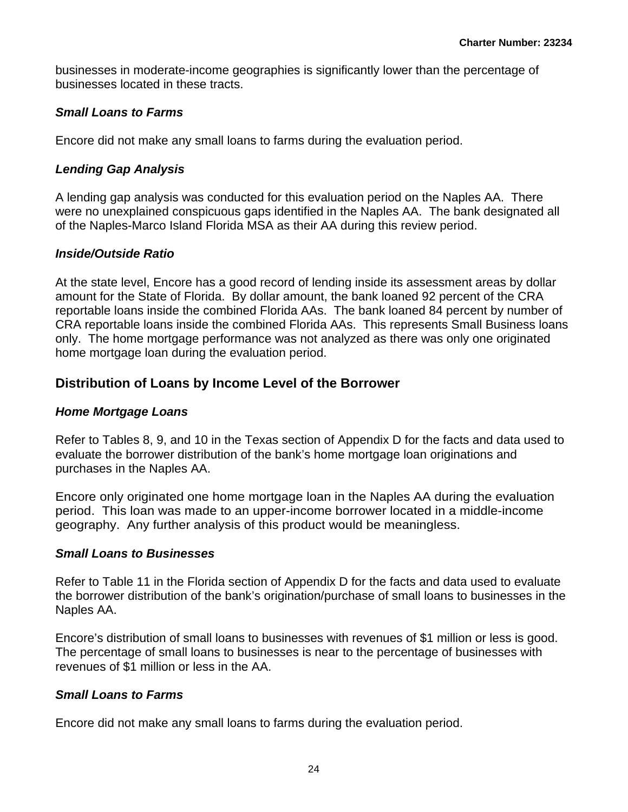businesses in moderate-income geographies is significantly lower than the percentage of businesses located in these tracts.

### *Small Loans to Farms*

Encore did not make any small loans to farms during the evaluation period.

### *Lending Gap Analysis*

A lending gap analysis was conducted for this evaluation period on the Naples AA. There were no unexplained conspicuous gaps identified in the Naples AA. The bank designated all of the Naples-Marco Island Florida MSA as their AA during this review period.

### *Inside/Outside Ratio*

At the state level, Encore has a good record of lending inside its assessment areas by dollar amount for the State of Florida. By dollar amount, the bank loaned 92 percent of the CRA reportable loans inside the combined Florida AAs. The bank loaned 84 percent by number of CRA reportable loans inside the combined Florida AAs. This represents Small Business loans only. The home mortgage performance was not analyzed as there was only one originated home mortgage loan during the evaluation period.

### **Distribution of Loans by Income Level of the Borrower**

### *Home Mortgage Loans*

Refer to Tables 8, 9, and 10 in the Texas section of Appendix D for the facts and data used to evaluate the borrower distribution of the bank's home mortgage loan originations and purchases in the Naples AA.

Encore only originated one home mortgage loan in the Naples AA during the evaluation period. This loan was made to an upper-income borrower located in a middle-income geography. Any further analysis of this product would be meaningless.

### *Small Loans to Businesses*

Refer to Table 11 in the Florida section of Appendix D for the facts and data used to evaluate the borrower distribution of the bank's origination/purchase of small loans to businesses in the Naples AA.

Encore's distribution of small loans to businesses with revenues of \$1 million or less is good. The percentage of small loans to businesses is near to the percentage of businesses with revenues of \$1 million or less in the AA.

### *Small Loans to Farms*

Encore did not make any small loans to farms during the evaluation period.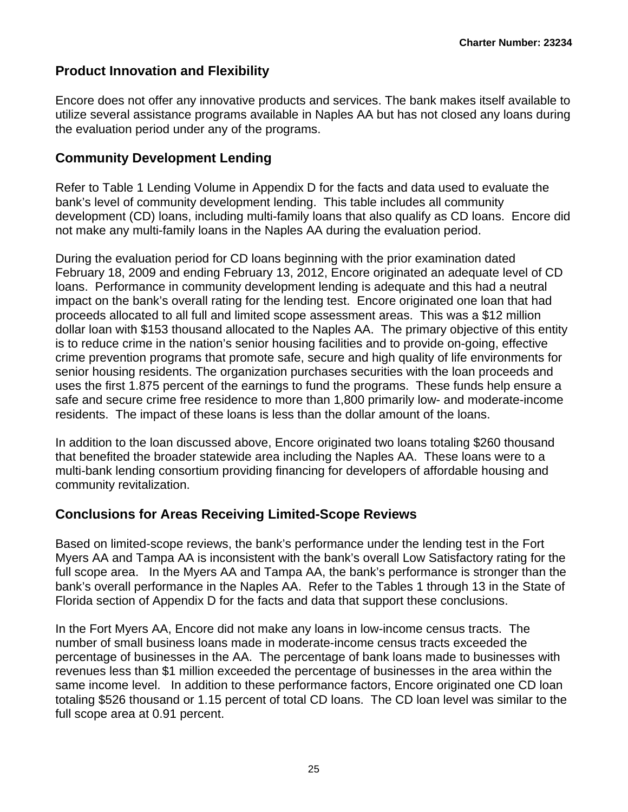### **Product Innovation and Flexibility**

Encore does not offer any innovative products and services. The bank makes itself available to utilize several assistance programs available in Naples AA but has not closed any loans during the evaluation period under any of the programs.

### **Community Development Lending**

Refer to Table 1 Lending Volume in Appendix D for the facts and data used to evaluate the bank's level of community development lending. This table includes all community development (CD) loans, including multi-family loans that also qualify as CD loans. Encore did not make any multi-family loans in the Naples AA during the evaluation period.

During the evaluation period for CD loans beginning with the prior examination dated February 18, 2009 and ending February 13, 2012, Encore originated an adequate level of CD loans. Performance in community development lending is adequate and this had a neutral impact on the bank's overall rating for the lending test. Encore originated one loan that had proceeds allocated to all full and limited scope assessment areas. This was a \$12 million dollar loan with \$153 thousand allocated to the Naples AA. The primary objective of this entity is to reduce crime in the nation's senior housing facilities and to provide on-going, effective crime prevention programs that promote safe, secure and high quality of life environments for senior housing residents. The organization purchases securities with the loan proceeds and uses the first 1.875 percent of the earnings to fund the programs. These funds help ensure a safe and secure crime free residence to more than 1,800 primarily low- and moderate-income residents. The impact of these loans is less than the dollar amount of the loans.

In addition to the loan discussed above, Encore originated two loans totaling \$260 thousand that benefited the broader statewide area including the Naples AA. These loans were to a multi-bank lending consortium providing financing for developers of affordable housing and community revitalization.

### **Conclusions for Areas Receiving Limited-Scope Reviews**

Based on limited-scope reviews, the bank's performance under the lending test in the Fort Myers AA and Tampa AA is inconsistent with the bank's overall Low Satisfactory rating for the full scope area. In the Myers AA and Tampa AA, the bank's performance is stronger than the bank's overall performance in the Naples AA. Refer to the Tables 1 through 13 in the State of Florida section of Appendix D for the facts and data that support these conclusions.

In the Fort Myers AA, Encore did not make any loans in low-income census tracts. The number of small business loans made in moderate-income census tracts exceeded the percentage of businesses in the AA. The percentage of bank loans made to businesses with revenues less than \$1 million exceeded the percentage of businesses in the area within the same income level. In addition to these performance factors, Encore originated one CD loan totaling \$526 thousand or 1.15 percent of total CD loans. The CD loan level was similar to the full scope area at 0.91 percent.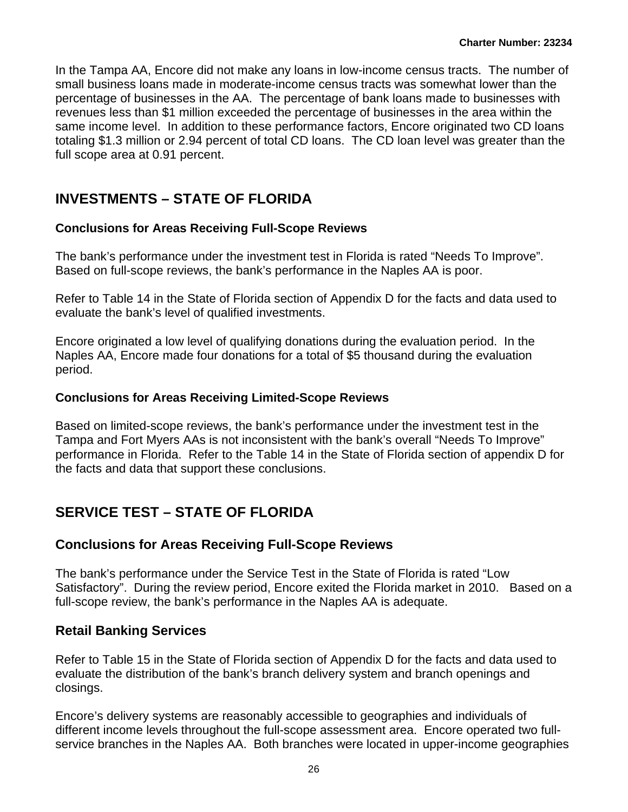In the Tampa AA, Encore did not make any loans in low-income census tracts. The number of small business loans made in moderate-income census tracts was somewhat lower than the percentage of businesses in the AA. The percentage of bank loans made to businesses with revenues less than \$1 million exceeded the percentage of businesses in the area within the same income level. In addition to these performance factors, Encore originated two CD loans totaling \$1.3 million or 2.94 percent of total CD loans. The CD loan level was greater than the full scope area at 0.91 percent.

## **INVESTMENTS – STATE OF FLORIDA**

### **Conclusions for Areas Receiving Full-Scope Reviews**

The bank's performance under the investment test in Florida is rated "Needs To Improve". Based on full-scope reviews, the bank's performance in the Naples AA is poor.

Refer to Table 14 in the State of Florida section of Appendix D for the facts and data used to evaluate the bank's level of qualified investments.

Encore originated a low level of qualifying donations during the evaluation period. In the Naples AA, Encore made four donations for a total of \$5 thousand during the evaluation period.

### **Conclusions for Areas Receiving Limited-Scope Reviews**

Based on limited-scope reviews, the bank's performance under the investment test in the Tampa and Fort Myers AAs is not inconsistent with the bank's overall "Needs To Improve" performance in Florida. Refer to the Table 14 in the State of Florida section of appendix D for the facts and data that support these conclusions.

## **SERVICE TEST – STATE OF FLORIDA**

### **Conclusions for Areas Receiving Full-Scope Reviews**

The bank's performance under the Service Test in the State of Florida is rated "Low Satisfactory". During the review period, Encore exited the Florida market in 2010. Based on a full-scope review, the bank's performance in the Naples AA is adequate.

### **Retail Banking Services**

Refer to Table 15 in the State of Florida section of Appendix D for the facts and data used to evaluate the distribution of the bank's branch delivery system and branch openings and closings.

Encore's delivery systems are reasonably accessible to geographies and individuals of different income levels throughout the full-scope assessment area. Encore operated two fullservice branches in the Naples AA. Both branches were located in upper-income geographies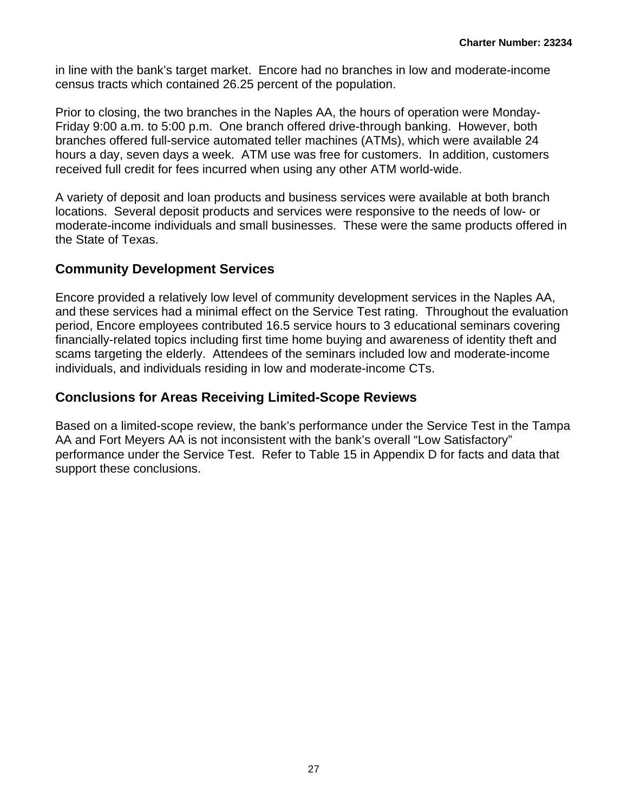in line with the bank's target market. Encore had no branches in low and moderate-income census tracts which contained 26.25 percent of the population.

Prior to closing, the two branches in the Naples AA, the hours of operation were Monday-Friday 9:00 a.m. to 5:00 p.m. One branch offered drive-through banking. However, both branches offered full-service automated teller machines (ATMs), which were available 24 hours a day, seven days a week. ATM use was free for customers. In addition, customers received full credit for fees incurred when using any other ATM world-wide.

A variety of deposit and loan products and business services were available at both branch locations. Several deposit products and services were responsive to the needs of low- or moderate-income individuals and small businesses. These were the same products offered in the State of Texas.

### **Community Development Services**

Encore provided a relatively low level of community development services in the Naples AA, and these services had a minimal effect on the Service Test rating. Throughout the evaluation period, Encore employees contributed 16.5 service hours to 3 educational seminars covering financially-related topics including first time home buying and awareness of identity theft and scams targeting the elderly. Attendees of the seminars included low and moderate-income individuals, and individuals residing in low and moderate-income CTs.

### **Conclusions for Areas Receiving Limited-Scope Reviews**

Based on a limited-scope review, the bank's performance under the Service Test in the Tampa AA and Fort Meyers AA is not inconsistent with the bank's overall "Low Satisfactory" performance under the Service Test. Refer to Table 15 in Appendix D for facts and data that support these conclusions.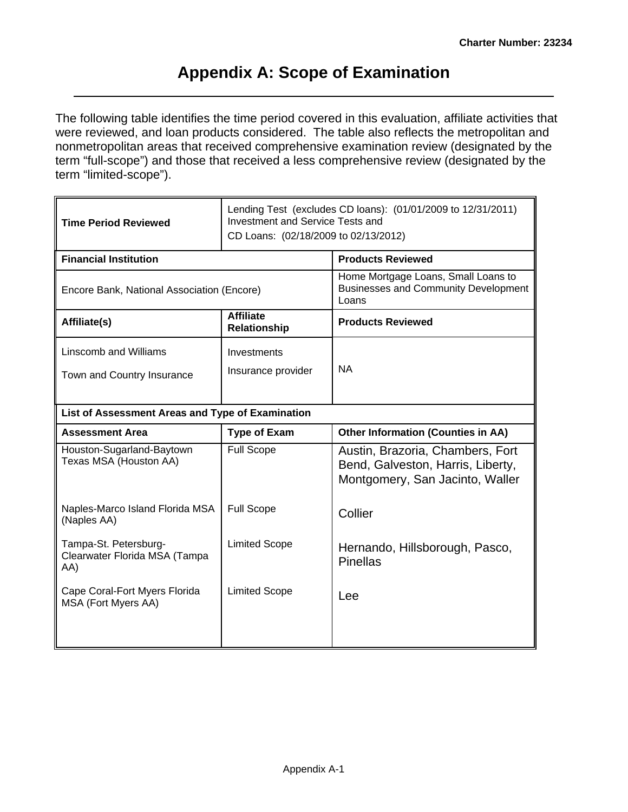## **Appendix A: Scope of Examination**

The following table identifies the time period covered in this evaluation, affiliate activities that were reviewed, and loan products considered. The table also reflects the metropolitan and nonmetropolitan areas that received comprehensive examination review (designated by the term "full-scope") and those that received a less comprehensive review (designated by the term "limited-scope").

| <b>Time Period Reviewed</b>                                   |                                         | Lending Test (excludes CD loans): (01/01/2009 to 12/31/2011)<br>Investment and Service Tests and<br>CD Loans: (02/18/2009 to 02/13/2012) |  |  |  |  |  |  |
|---------------------------------------------------------------|-----------------------------------------|------------------------------------------------------------------------------------------------------------------------------------------|--|--|--|--|--|--|
| <b>Financial Institution</b>                                  |                                         | <b>Products Reviewed</b>                                                                                                                 |  |  |  |  |  |  |
| Encore Bank, National Association (Encore)                    |                                         | Home Mortgage Loans, Small Loans to<br><b>Businesses and Community Development</b><br>Loans                                              |  |  |  |  |  |  |
| Affiliate(s)                                                  | <b>Affiliate</b><br><b>Relationship</b> | <b>Products Reviewed</b>                                                                                                                 |  |  |  |  |  |  |
| <b>Linscomb and Williams</b>                                  | Investments                             |                                                                                                                                          |  |  |  |  |  |  |
| Town and Country Insurance                                    | Insurance provider                      | <b>NA</b>                                                                                                                                |  |  |  |  |  |  |
|                                                               |                                         |                                                                                                                                          |  |  |  |  |  |  |
| List of Assessment Areas and Type of Examination              |                                         |                                                                                                                                          |  |  |  |  |  |  |
| <b>Assessment Area</b>                                        | <b>Type of Exam</b>                     | <b>Other Information (Counties in AA)</b>                                                                                                |  |  |  |  |  |  |
| Houston-Sugarland-Baytown<br>Texas MSA (Houston AA)           | <b>Full Scope</b>                       | Austin, Brazoria, Chambers, Fort<br>Bend, Galveston, Harris, Liberty,<br>Montgomery, San Jacinto, Waller                                 |  |  |  |  |  |  |
| Naples-Marco Island Florida MSA<br>(Naples AA)                | <b>Full Scope</b>                       | Collier                                                                                                                                  |  |  |  |  |  |  |
| Tampa-St. Petersburg-<br>Clearwater Florida MSA (Tampa<br>AA) | <b>Limited Scope</b>                    | Hernando, Hillsborough, Pasco,<br><b>Pinellas</b>                                                                                        |  |  |  |  |  |  |
| Cape Coral-Fort Myers Florida<br>MSA (Fort Myers AA)          | <b>Limited Scope</b>                    | Lee                                                                                                                                      |  |  |  |  |  |  |
|                                                               |                                         |                                                                                                                                          |  |  |  |  |  |  |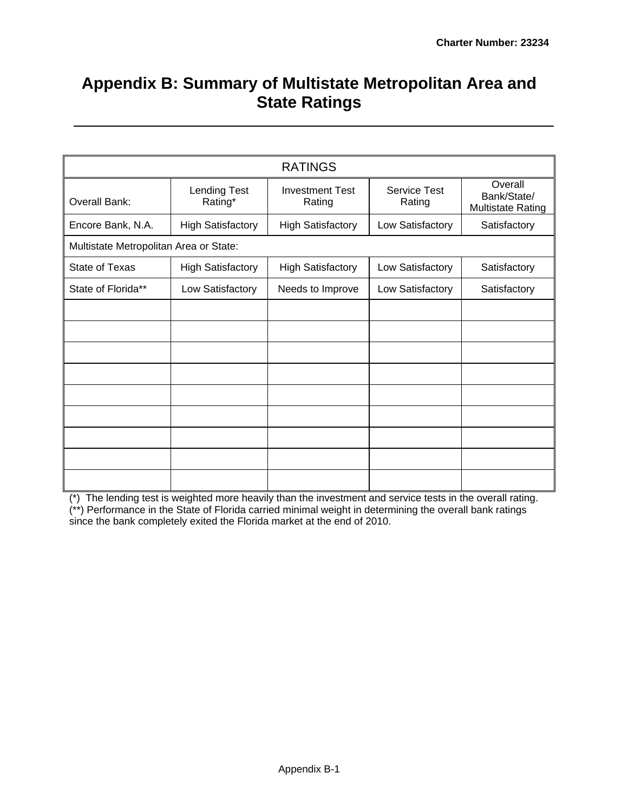# **Appendix B: Summary of Multistate Metropolitan Area and State Ratings**

|                                        |                          | <b>RATINGS</b>                   |                               |                                                    |
|----------------------------------------|--------------------------|----------------------------------|-------------------------------|----------------------------------------------------|
| <b>Overall Bank:</b>                   | Lending Test<br>Rating*  | <b>Investment Test</b><br>Rating | <b>Service Test</b><br>Rating | Overall<br>Bank/State/<br><b>Multistate Rating</b> |
| Encore Bank, N.A.                      | <b>High Satisfactory</b> | <b>High Satisfactory</b>         | Low Satisfactory              | Satisfactory                                       |
| Multistate Metropolitan Area or State: |                          |                                  |                               |                                                    |
| <b>State of Texas</b>                  | <b>High Satisfactory</b> | <b>High Satisfactory</b>         | Low Satisfactory              | Satisfactory                                       |
| State of Florida**                     | Low Satisfactory         | Needs to Improve                 | Low Satisfactory              | Satisfactory                                       |
|                                        |                          |                                  |                               |                                                    |
|                                        |                          |                                  |                               |                                                    |
|                                        |                          |                                  |                               |                                                    |
|                                        |                          |                                  |                               |                                                    |
|                                        |                          |                                  |                               |                                                    |
|                                        |                          |                                  |                               |                                                    |
|                                        |                          |                                  |                               |                                                    |
|                                        |                          |                                  |                               |                                                    |
|                                        |                          |                                  |                               |                                                    |

(\*) The lending test is weighted more heavily than the investment and service tests in the overall rating. (\*\*) Performance in the State of Florida carried minimal weight in determining the overall bank ratings since the bank completely exited the Florida market at the end of 2010.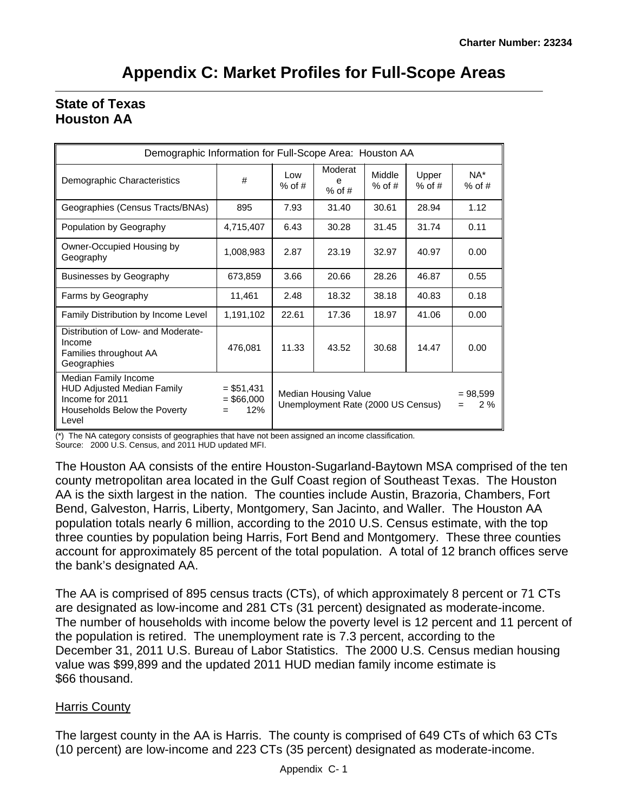| Demographic Information for Full-Scope Area: Houston AA                                                               |                                    |                                                                               |                          |                    |                   |                    |  |  |  |  |  |  |  |
|-----------------------------------------------------------------------------------------------------------------------|------------------------------------|-------------------------------------------------------------------------------|--------------------------|--------------------|-------------------|--------------------|--|--|--|--|--|--|--|
| Demographic Characteristics                                                                                           | #                                  | Low<br>$%$ of #                                                               | Moderat<br>e<br>$%$ of # | Middle<br>$%$ of # | Upper<br>$%$ of # | $NA^*$<br>$%$ of # |  |  |  |  |  |  |  |
| Geographies (Census Tracts/BNAs)                                                                                      | 895                                | 7.93                                                                          | 31.40                    | 30.61              | 28.94             | 1.12               |  |  |  |  |  |  |  |
| Population by Geography                                                                                               | 4,715,407                          | 6.43                                                                          | 30.28                    | 31.45              | 31.74             | 0.11               |  |  |  |  |  |  |  |
| Owner-Occupied Housing by<br>Geography                                                                                | 1,008,983                          | 2.87                                                                          | 23.19                    | 32.97              | 40.97             | 0.00               |  |  |  |  |  |  |  |
| <b>Businesses by Geography</b>                                                                                        | 673,859                            | 3.66                                                                          | 20.66                    |                    | 46.87             | 0.55               |  |  |  |  |  |  |  |
| Farms by Geography                                                                                                    | 11,461                             | 2.48                                                                          | 18.32                    | 38.18              | 40.83             | 0.18               |  |  |  |  |  |  |  |
| Family Distribution by Income Level                                                                                   | 1,191,102                          | 22.61                                                                         | 17.36                    | 18.97              | 41.06             | 0.00               |  |  |  |  |  |  |  |
| Distribution of Low- and Moderate-<br>Income<br>Families throughout AA<br>Geographies                                 | 476,081                            | 11.33                                                                         | 43.52                    | 30.68              | 14.47             | 0.00               |  |  |  |  |  |  |  |
| Median Family Income<br><b>HUD Adjusted Median Family</b><br>Income for 2011<br>Households Below the Poverty<br>Level | $= $51,431$<br>$=$ \$66,000<br>12% | Median Housing Value<br>$= 98,599$<br>Unemployment Rate (2000 US Census)<br>= |                          |                    |                   |                    |  |  |  |  |  |  |  |

# **Appendix C: Market Profiles for Full-Scope Areas**

### **State of Texas Houston AA**

(\*) The NA category consists of geographies that have not been assigned an income classification.

Source: 2000 U.S. Census, and 2011 HUD updated MFI.

The Houston AA consists of the entire Houston-Sugarland-Baytown MSA comprised of the ten county metropolitan area located in the Gulf Coast region of Southeast Texas. The Houston AA is the sixth largest in the nation. The counties include Austin, Brazoria, Chambers, Fort Bend, Galveston, Harris, Liberty, Montgomery, San Jacinto, and Waller. The Houston AA population totals nearly 6 million, according to the 2010 U.S. Census estimate, with the top three counties by population being Harris, Fort Bend and Montgomery. These three counties account for approximately 85 percent of the total population. A total of 12 branch offices serve the bank's designated AA.

The AA is comprised of 895 census tracts (CTs), of which approximately 8 percent or 71 CTs are designated as low-income and 281 CTs (31 percent) designated as moderate-income. The number of households with income below the poverty level is 12 percent and 11 percent of the population is retired. The unemployment rate is 7.3 percent, according to the December 31, 2011 U.S. Bureau of Labor Statistics. The 2000 U.S. Census median housing value was \$99,899 and the updated 2011 HUD median family income estimate is \$66 thousand.

### Harris County

The largest county in the AA is Harris. The county is comprised of 649 CTs of which 63 CTs (10 percent) are low-income and 223 CTs (35 percent) designated as moderate-income.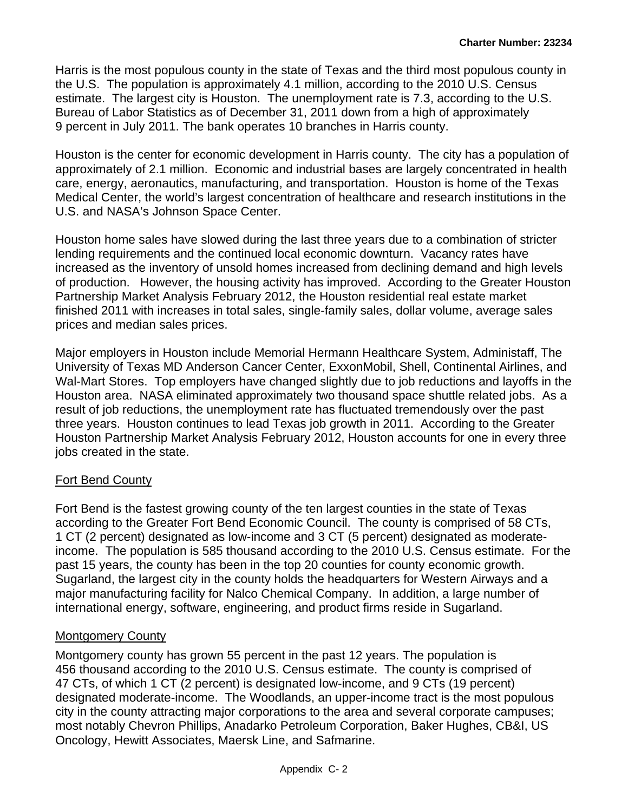Bureau of Labor Statistics as of December 31, 2011 down from a high of approximately Harris is the most populous county in the state of Texas and the third most populous county in the U.S. The population is approximately 4.1 million, according to the 2010 U.S. Census estimate. The largest city is Houston. The unemployment rate is 7.3, according to the U.S. 9 percent in July 2011. The bank operates 10 branches in Harris county.

Houston is the center for economic development in Harris county. The city has a population of approximately of 2.1 million. Economic and industrial bases are largely concentrated in health care, energy, aeronautics, manufacturing, and transportation. Houston is home of the Texas Medical Center, the world's largest concentration of healthcare and research institutions in the U.S. and NASA's Johnson Space Center.

Houston home sales have slowed during the last three years due to a combination of stricter lending requirements and the continued local economic downturn. Vacancy rates have increased as the inventory of unsold homes increased from declining demand and high levels of production. However, the housing activity has improved. According to the Greater Houston Partnership Market Analysis February 2012, the Houston residential real estate market finished 2011 with increases in total sales, single-family sales, dollar volume, average sales prices and median sales prices.

Major employers in Houston include Memorial Hermann Healthcare System, Administaff, The University of Texas MD Anderson Cancer Center, ExxonMobil, Shell, Continental Airlines, and Wal-Mart Stores. Top employers have changed slightly due to job reductions and layoffs in the Houston area. NASA eliminated approximately two thousand space shuttle related jobs. As a result of job reductions, the unemployment rate has fluctuated tremendously over the past three years. Houston continues to lead Texas job growth in 2011. According to the Greater Houston Partnership Market Analysis February 2012, Houston accounts for one in every three jobs created in the state.

### Fort Bend County

Fort Bend is the fastest growing county of the ten largest counties in the state of Texas according to the Greater Fort Bend Economic Council. The county is comprised of 58 CTs, 1 CT (2 percent) designated as low-income and 3 CT (5 percent) designated as moderateincome. The population is 585 thousand according to the 2010 U.S. Census estimate. For the past 15 years, the county has been in the top 20 counties for county economic growth. Sugarland, the largest city in the county holds the headquarters for Western Airways and a major manufacturing facility for Nalco Chemical Company. In addition, a large number of international energy, software, engineering, and product firms reside in Sugarland.

### Montgomery County

 456 thousand according to the 2010 U.S. Census estimate. The county is comprised of Montgomery county has grown 55 percent in the past 12 years. The population is 47 CTs, of which 1 CT (2 percent) is designated low-income, and 9 CTs (19 percent) designated moderate-income. The Woodlands, an upper-income tract is the most populous city in the county attracting major corporations to the area and several corporate campuses; most notably Chevron Phillips, Anadarko Petroleum Corporation, Baker Hughes, CB&I, US Oncology, Hewitt Associates, Maersk Line, and Safmarine.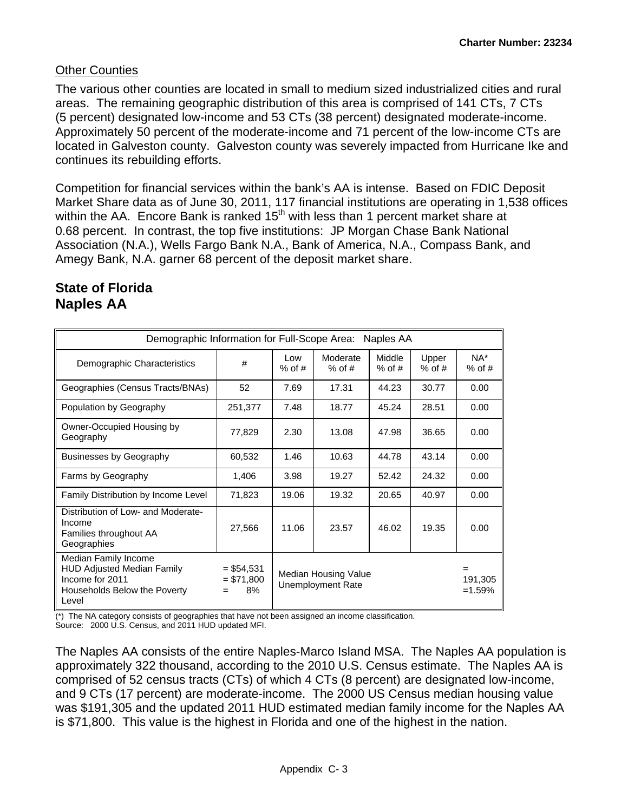### Other Counties

The various other counties are located in small to medium sized industrialized cities and rural areas. The remaining geographic distribution of this area is comprised of 141 CTs, 7 CTs (5 percent) designated low-income and 53 CTs (38 percent) designated moderate-income. Approximately 50 percent of the moderate-income and 71 percent of the low-income CTs are located in Galveston county. Galveston county was severely impacted from Hurricane Ike and continues its rebuilding efforts.

Competition for financial services within the bank's AA is intense. Based on FDIC Deposit Market Share data as of June 30, 2011, 117 financial institutions are operating in 1,538 offices within the AA. Encore Bank is ranked  $15<sup>th</sup>$  with less than 1 percent market share at 0.68 percent. In contrast, the top five institutions: JP Morgan Chase Bank National Association (N.A.), Wells Fargo Bank N.A., Bank of America, N.A., Compass Bank, and Amegy Bank, N.A. garner 68 percent of the deposit market share.

### **State of Florida Naples AA**

| Demographic Information for Full-Scope Area:<br>Naples AA                                                             |                                       |                                                  |                      |                    |                   |                    |  |  |  |  |  |  |  |
|-----------------------------------------------------------------------------------------------------------------------|---------------------------------------|--------------------------------------------------|----------------------|--------------------|-------------------|--------------------|--|--|--|--|--|--|--|
| Demographic Characteristics                                                                                           | #                                     | Low<br>$%$ of #                                  | Moderate<br>$%$ of # | Middle<br>$%$ of # | Upper<br>$%$ of # | $NA^*$<br>$%$ of # |  |  |  |  |  |  |  |
| Geographies (Census Tracts/BNAs)                                                                                      | 52                                    | 7.69                                             | 17.31                | 44.23              | 30.77             | 0.00               |  |  |  |  |  |  |  |
| Population by Geography                                                                                               | 251,377                               | 7.48                                             | 18.77                | 45.24              | 28.51             | 0.00               |  |  |  |  |  |  |  |
| Owner-Occupied Housing by<br>Geography                                                                                | 77,829                                | 2.30                                             | 13.08                | 47.98              | 36.65             | 0.00               |  |  |  |  |  |  |  |
| <b>Businesses by Geography</b>                                                                                        | 60,532                                | 1.46                                             | 10.63                |                    | 43.14             | 0.00               |  |  |  |  |  |  |  |
| Farms by Geography                                                                                                    | 1,406                                 | 3.98                                             | 19.27                |                    | 24.32             | 0.00               |  |  |  |  |  |  |  |
| Family Distribution by Income Level                                                                                   | 71,823                                | 19.06                                            | 19.32                | 20.65              | 40.97             | 0.00               |  |  |  |  |  |  |  |
| Distribution of Low- and Moderate-<br>Income<br>Families throughout AA<br>Geographies                                 | 27,566                                | 11.06                                            | 23.57                | 46.02              | 19.35             | 0.00               |  |  |  |  |  |  |  |
| Median Family Income<br><b>HUD Adjusted Median Family</b><br>Income for 2011<br>Households Below the Poverty<br>Level | $= $54,531$<br>$= $71,800$<br>8%<br>= | Median Housing Value<br><b>Unemployment Rate</b> | 191,305<br>$=1.59\%$ |                    |                   |                    |  |  |  |  |  |  |  |

(\*) The NA category consists of geographies that have not been assigned an income classification.

Source: 2000 U.S. Census, and 2011 HUD updated MFI.

The Naples AA consists of the entire Naples-Marco Island MSA. The Naples AA population is approximately 322 thousand, according to the 2010 U.S. Census estimate. The Naples AA is comprised of 52 census tracts (CTs) of which 4 CTs (8 percent) are designated low-income, and 9 CTs (17 percent) are moderate-income. The 2000 US Census median housing value was \$191,305 and the updated 2011 HUD estimated median family income for the Naples AA is \$71,800. This value is the highest in Florida and one of the highest in the nation.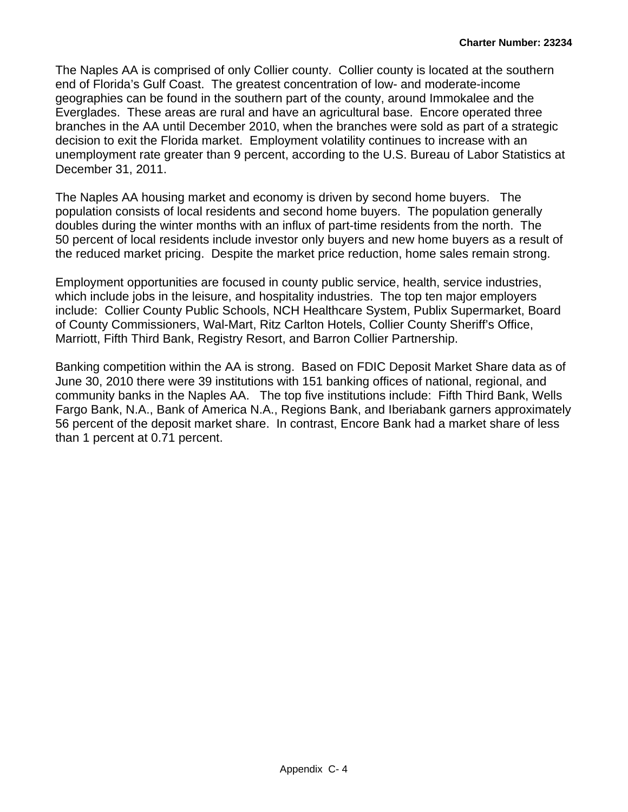The Naples AA is comprised of only Collier county. Collier county is located at the southern end of Florida's Gulf Coast. The greatest concentration of low- and moderate-income geographies can be found in the southern part of the county, around Immokalee and the Everglades. These areas are rural and have an agricultural base. Encore operated three branches in the AA until December 2010, when the branches were sold as part of a strategic decision to exit the Florida market. Employment volatility continues to increase with an unemployment rate greater than 9 percent, according to the U.S. Bureau of Labor Statistics at December 31, 2011.

The Naples AA housing market and economy is driven by second home buyers. The population consists of local residents and second home buyers. The population generally doubles during the winter months with an influx of part-time residents from the north. The 50 percent of local residents include investor only buyers and new home buyers as a result of the reduced market pricing. Despite the market price reduction, home sales remain strong.

Employment opportunities are focused in county public service, health, service industries, which include jobs in the leisure, and hospitality industries. The top ten major employers include: Collier County Public Schools, NCH Healthcare System, Publix Supermarket, Board of County Commissioners, Wal-Mart, Ritz Carlton Hotels, Collier County Sheriff's Office, Marriott, Fifth Third Bank, Registry Resort, and Barron Collier Partnership.

Banking competition within the AA is strong. Based on FDIC Deposit Market Share data as of June 30, 2010 there were 39 institutions with 151 banking offices of national, regional, and community banks in the Naples AA. The top five institutions include: Fifth Third Bank, Wells Fargo Bank, N.A., Bank of America N.A., Regions Bank, and Iberiabank garners approximately 56 percent of the deposit market share. In contrast, Encore Bank had a market share of less than 1 percent at 0.71 percent.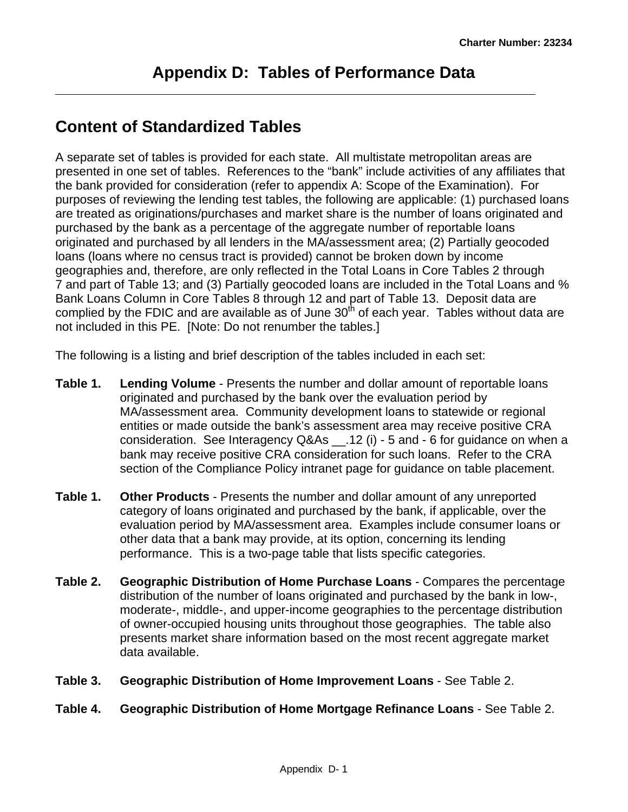# **Content of Standardized Tables**

A separate set of tables is provided for each state. All multistate metropolitan areas are presented in one set of tables. References to the "bank" include activities of any affiliates that the bank provided for consideration (refer to appendix A: Scope of the Examination). For purposes of reviewing the lending test tables, the following are applicable: (1) purchased loans are treated as originations/purchases and market share is the number of loans originated and purchased by the bank as a percentage of the aggregate number of reportable loans originated and purchased by all lenders in the MA/assessment area; (2) Partially geocoded loans (loans where no census tract is provided) cannot be broken down by income geographies and, therefore, are only reflected in the Total Loans in Core Tables 2 through 7 and part of Table 13; and (3) Partially geocoded loans are included in the Total Loans and % Bank Loans Column in Core Tables 8 through 12 and part of Table 13. Deposit data are complied by the FDIC and are available as of June  $30<sup>th</sup>$  of each year. Tables without data are not included in this PE. [Note: Do not renumber the tables.]

The following is a listing and brief description of the tables included in each set:

- **Table 1. Lending Volume** Presents the number and dollar amount of reportable loans originated and purchased by the bank over the evaluation period by MA/assessment area. Community development loans to statewide or regional entities or made outside the bank's assessment area may receive positive CRA consideration. See Interagency Q&As \_\_.12 (i) - 5 and - 6 for guidance on when a bank may receive positive CRA consideration for such loans. Refer to the CRA section of the Compliance Policy intranet page for guidance on table placement.
- **Table 1. Other Products** Presents the number and dollar amount of any unreported category of loans originated and purchased by the bank, if applicable, over the evaluation period by MA/assessment area. Examples include consumer loans or other data that a bank may provide, at its option, concerning its lending performance. This is a two-page table that lists specific categories.
- **Table 2. Geographic Distribution of Home Purchase Loans** Compares the percentage distribution of the number of loans originated and purchased by the bank in low-, moderate-, middle-, and upper-income geographies to the percentage distribution of owner-occupied housing units throughout those geographies. The table also presents market share information based on the most recent aggregate market data available.
- **Table 3. Geographic Distribution of Home Improvement Loans** See Table 2.
- **Table 4. Geographic Distribution of Home Mortgage Refinance Loans** See Table 2.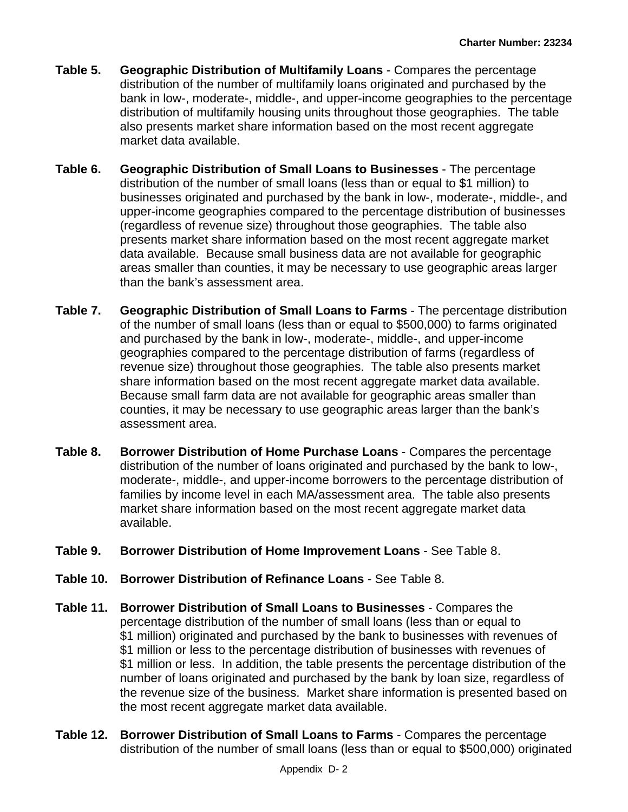- **Table 5. Geographic Distribution of Multifamily Loans** Compares the percentage distribution of the number of multifamily loans originated and purchased by the bank in low-, moderate-, middle-, and upper-income geographies to the percentage distribution of multifamily housing units throughout those geographies. The table also presents market share information based on the most recent aggregate market data available.
- **Table 6. Geographic Distribution of Small Loans to Businesses** The percentage distribution of the number of small loans (less than or equal to \$1 million) to businesses originated and purchased by the bank in low-, moderate-, middle-, and upper-income geographies compared to the percentage distribution of businesses (regardless of revenue size) throughout those geographies. The table also presents market share information based on the most recent aggregate market data available. Because small business data are not available for geographic areas smaller than counties, it may be necessary to use geographic areas larger than the bank's assessment area.
- share information based on the most recent aggregate market data available. **Table 7. Geographic Distribution of Small Loans to Farms** - The percentage distribution of the number of small loans (less than or equal to \$500,000) to farms originated and purchased by the bank in low-, moderate-, middle-, and upper-income geographies compared to the percentage distribution of farms (regardless of revenue size) throughout those geographies. The table also presents market Because small farm data are not available for geographic areas smaller than counties, it may be necessary to use geographic areas larger than the bank's assessment area.
- **Table 8. Borrower Distribution of Home Purchase Loans** Compares the percentage distribution of the number of loans originated and purchased by the bank to low-, moderate-, middle-, and upper-income borrowers to the percentage distribution of families by income level in each MA/assessment area. The table also presents market share information based on the most recent aggregate market data available.
- **Table 9. Borrower Distribution of Home Improvement Loans** See Table 8.
- **Table 10. Borrower Distribution of Refinance Loans** See Table 8.
- \$1 million or less to the percentage distribution of businesses with revenues of **Table 11. Borrower Distribution of Small Loans to Businesses** - Compares the percentage distribution of the number of small loans (less than or equal to \$1 million) originated and purchased by the bank to businesses with revenues of \$1 million or less. In addition, the table presents the percentage distribution of the number of loans originated and purchased by the bank by loan size, regardless of the revenue size of the business. Market share information is presented based on the most recent aggregate market data available.
- **Table 12. Borrower Distribution of Small Loans to Farms** Compares the percentage distribution of the number of small loans (less than or equal to \$500,000) originated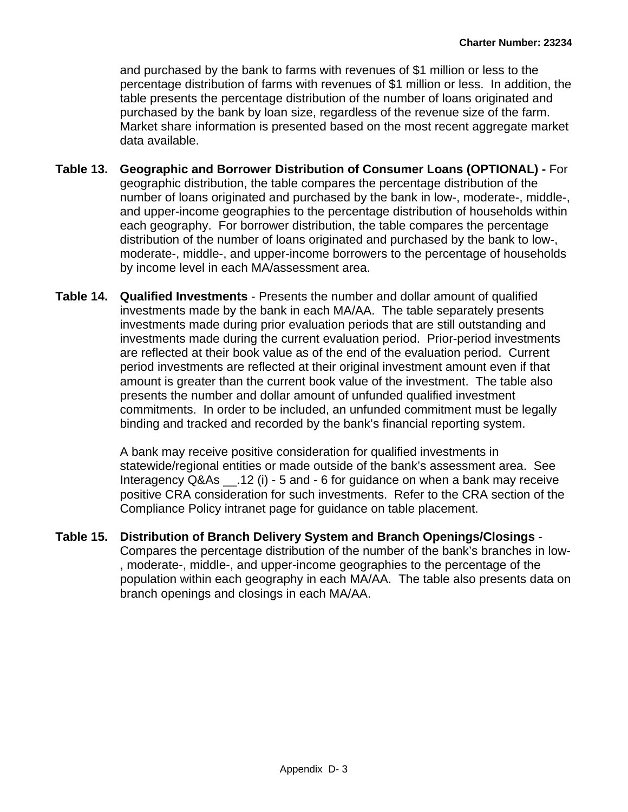and purchased by the bank to farms with revenues of \$1 million or less to the percentage distribution of farms with revenues of \$1 million or less. In addition, the table presents the percentage distribution of the number of loans originated and purchased by the bank by loan size, regardless of the revenue size of the farm. Market share information is presented based on the most recent aggregate market data available.

- **Table 13. Geographic and Borrower Distribution of Consumer Loans (OPTIONAL)** For geographic distribution, the table compares the percentage distribution of the number of loans originated and purchased by the bank in low-, moderate-, middle-, and upper-income geographies to the percentage distribution of households within each geography. For borrower distribution, the table compares the percentage distribution of the number of loans originated and purchased by the bank to low-, moderate-, middle-, and upper-income borrowers to the percentage of households by income level in each MA/assessment area.
- **Table 14. Qualified Investments** Presents the number and dollar amount of qualified investments made by the bank in each MA/AA. The table separately presents investments made during prior evaluation periods that are still outstanding and investments made during the current evaluation period. Prior-period investments are reflected at their book value as of the end of the evaluation period. Current period investments are reflected at their original investment amount even if that amount is greater than the current book value of the investment. The table also presents the number and dollar amount of unfunded qualified investment commitments. In order to be included, an unfunded commitment must be legally binding and tracked and recorded by the bank's financial reporting system.

A bank may receive positive consideration for qualified investments in statewide/regional entities or made outside of the bank's assessment area. See Interagency Q&As \_\_.12 (i) - 5 and - 6 for guidance on when a bank may receive positive CRA consideration for such investments. Refer to the CRA section of the Compliance Policy intranet page for guidance on table placement.

**Table 15. Distribution of Branch Delivery System and Branch Openings/Closings** - Compares the percentage distribution of the number of the bank's branches in low- , moderate-, middle-, and upper-income geographies to the percentage of the population within each geography in each MA/AA. The table also presents data on branch openings and closings in each MA/AA.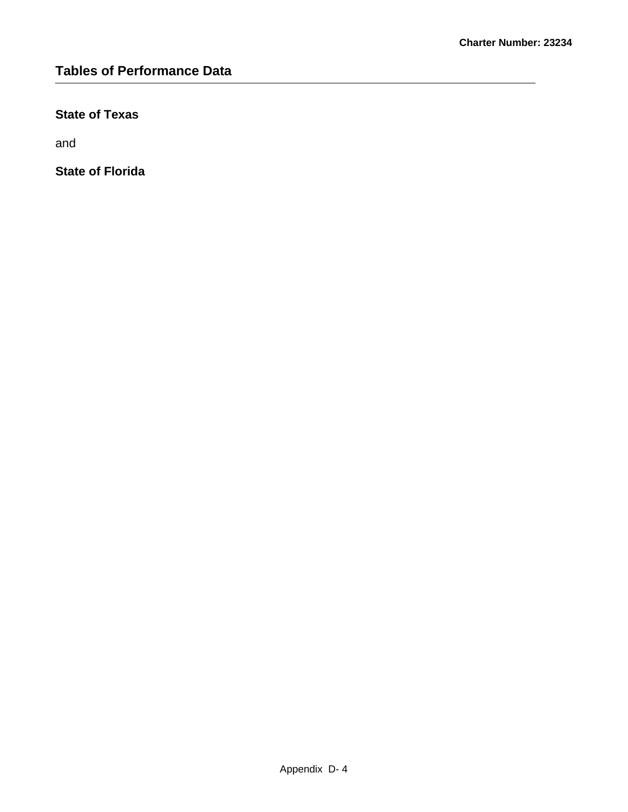### **State of Texas**

and

**State of Florida**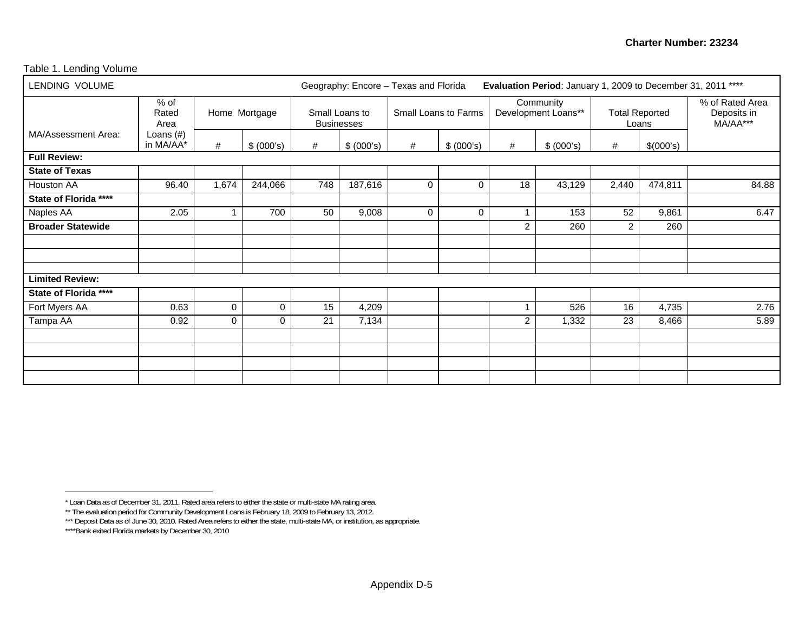#### Table 1. Lending Volume

| LENDING VOLUME           |                           |                                  |          |     | Evaluation Period: January 1, 2009 to December 31, 2011 ****<br>Geography: Encore - Texas and Florida |                      |                 |                |                                  |                |                                |                                            |  |
|--------------------------|---------------------------|----------------------------------|----------|-----|-------------------------------------------------------------------------------------------------------|----------------------|-----------------|----------------|----------------------------------|----------------|--------------------------------|--------------------------------------------|--|
|                          | % of<br>Rated<br>Area     | Home Mortgage<br>#<br>\$ (000's) |          |     | Small Loans to<br><b>Businesses</b>                                                                   | Small Loans to Farms |                 |                | Community<br>Development Loans** |                | <b>Total Reported</b><br>Loans | % of Rated Area<br>Deposits in<br>MA/AA*** |  |
| MA/Assessment Area:      | Loans $(\#)$<br>in MA/AA* |                                  |          | #   | \$ (000's)<br>#<br>\$ (000's)                                                                         |                      | #<br>\$ (000's) |                | #                                | \$(000's)      |                                |                                            |  |
| <b>Full Review:</b>      |                           |                                  |          |     |                                                                                                       |                      |                 |                |                                  |                |                                |                                            |  |
| <b>State of Texas</b>    |                           |                                  |          |     |                                                                                                       |                      |                 |                |                                  |                |                                |                                            |  |
| Houston AA               | 96.40                     | 1,674                            | 244,066  | 748 | 187,616                                                                                               | 0                    | $\mathbf 0$     | 18             | 43,129                           | 2,440          | 474,811                        | 84.88                                      |  |
| State of Florida ****    |                           |                                  |          |     |                                                                                                       |                      |                 |                |                                  |                |                                |                                            |  |
| Naples AA                | 2.05                      |                                  | 700      | 50  | 9,008                                                                                                 | 0                    | $\Omega$        |                | 153                              | 52             | 9,861                          | 6.47                                       |  |
| <b>Broader Statewide</b> |                           |                                  |          |     |                                                                                                       |                      |                 | $\overline{2}$ | 260                              | $\overline{2}$ | 260                            |                                            |  |
|                          |                           |                                  |          |     |                                                                                                       |                      |                 |                |                                  |                |                                |                                            |  |
|                          |                           |                                  |          |     |                                                                                                       |                      |                 |                |                                  |                |                                |                                            |  |
|                          |                           |                                  |          |     |                                                                                                       |                      |                 |                |                                  |                |                                |                                            |  |
| <b>Limited Review:</b>   |                           |                                  |          |     |                                                                                                       |                      |                 |                |                                  |                |                                |                                            |  |
| State of Florida ****    |                           |                                  |          |     |                                                                                                       |                      |                 |                |                                  |                |                                |                                            |  |
| Fort Myers AA            | 0.63                      | $\mathbf 0$                      | 0        | 15  | 4,209                                                                                                 |                      |                 |                | 526                              | 16             | 4,735                          | 2.76                                       |  |
| Tampa AA                 | 0.92                      | $\Omega$                         | $\Omega$ | 21  | 7,134                                                                                                 |                      |                 | 2              | 1,332                            | 23             | 8,466                          | 5.89                                       |  |
|                          |                           |                                  |          |     |                                                                                                       |                      |                 |                |                                  |                |                                |                                            |  |
|                          |                           |                                  |          |     |                                                                                                       |                      |                 |                |                                  |                |                                |                                            |  |
|                          |                           |                                  |          |     |                                                                                                       |                      |                 |                |                                  |                |                                |                                            |  |
|                          |                           |                                  |          |     |                                                                                                       |                      |                 |                |                                  |                |                                |                                            |  |

<sup>\*</sup> Loan Data as of December 31, 2011. Rated area refers to either the state or multi-state MA rating area.

<sup>\*\*</sup> The evaluation period for Community Development Loans is February 18, 2009 to February 13, 2012.

<sup>\*\*\*</sup> Deposit Data as of June 30, 2010. Rated Area refers to either the state, multi-state MA, or institution, as appropriate.

<sup>\*\*\*\*</sup>Bank exited Florida markets by December 30, 2010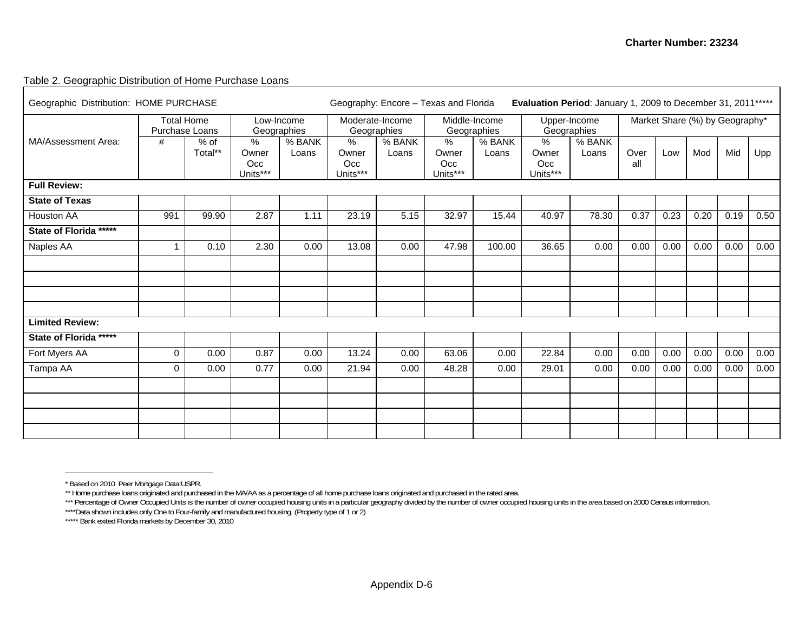#### Table 2. Geographic Distribution of Home Purchase Loans

| Geographic Distribution: HOME PURCHASE |                                     |                   | Evaluation Period: January 1, 2009 to December 31, 2011 *****<br>Geography: Encore - Texas and Florida |                           |                               |                                |                                  |                 |                                  |                 |                                |      |      |      |      |
|----------------------------------------|-------------------------------------|-------------------|--------------------------------------------------------------------------------------------------------|---------------------------|-------------------------------|--------------------------------|----------------------------------|-----------------|----------------------------------|-----------------|--------------------------------|------|------|------|------|
|                                        | <b>Total Home</b><br>Purchase Loans |                   |                                                                                                        | Low-Income<br>Geographies |                               | Moderate-Income<br>Geographies | Middle-Income<br>Geographies     |                 | Upper-Income<br>Geographies      |                 | Market Share (%) by Geography* |      |      |      |      |
| MA/Assessment Area:                    | #                                   | $%$ of<br>Total** | $\%$<br>Owner<br>Occ<br>Units***                                                                       | % BANK<br>Loans           | %<br>Owner<br>Occ<br>Units*** | % BANK<br>Loans                | $\%$<br>Owner<br>Occ<br>Units*** | % BANK<br>Loans | $\%$<br>Owner<br>Occ<br>Units*** | % BANK<br>Loans | Over<br>all                    | Low  | Mod  | Mid  | Upp  |
| <b>Full Review:</b>                    |                                     |                   |                                                                                                        |                           |                               |                                |                                  |                 |                                  |                 |                                |      |      |      |      |
| <b>State of Texas</b>                  |                                     |                   |                                                                                                        |                           |                               |                                |                                  |                 |                                  |                 |                                |      |      |      |      |
| <b>Houston AA</b>                      | 991                                 | 99.90             | 2.87                                                                                                   | 1.11                      | 23.19                         | 5.15                           | 32.97                            | 15.44           | 40.97                            | 78.30           | 0.37                           | 0.23 | 0.20 | 0.19 | 0.50 |
| State of Florida *****                 |                                     |                   |                                                                                                        |                           |                               |                                |                                  |                 |                                  |                 |                                |      |      |      |      |
| Naples AA                              | 1                                   | 0.10              | 2.30                                                                                                   | 0.00                      | 13.08                         | 0.00                           | 47.98                            | 100.00          | 36.65                            | 0.00            | 0.00                           | 0.00 | 0.00 | 0.00 | 0.00 |
|                                        |                                     |                   |                                                                                                        |                           |                               |                                |                                  |                 |                                  |                 |                                |      |      |      |      |
| <b>Limited Review:</b>                 |                                     |                   |                                                                                                        |                           |                               |                                |                                  |                 |                                  |                 |                                |      |      |      |      |
| State of Florida *****                 |                                     |                   |                                                                                                        |                           |                               |                                |                                  |                 |                                  |                 |                                |      |      |      |      |
| Fort Myers AA                          | $\mathbf 0$                         | 0.00              | 0.87                                                                                                   | 0.00                      | 13.24                         | 0.00                           | 63.06                            | 0.00            | 22.84                            | 0.00            | 0.00                           | 0.00 | 0.00 | 0.00 | 0.00 |
| Tampa AA                               | $\Omega$                            | 0.00              | 0.77                                                                                                   | 0.00                      | 21.94                         | 0.00                           | 48.28                            | 0.00            | 29.01                            | 0.00            | 0.00                           | 0.00 | 0.00 | 0.00 | 0.00 |
|                                        |                                     |                   |                                                                                                        |                           |                               |                                |                                  |                 |                                  |                 |                                |      |      |      |      |
|                                        |                                     |                   |                                                                                                        |                           |                               |                                |                                  |                 |                                  |                 |                                |      |      |      |      |
|                                        |                                     |                   |                                                                                                        |                           |                               |                                |                                  |                 |                                  |                 |                                |      |      |      |      |

<sup>\*</sup> Based on 2010 Peer Mortgage Data:USPR.

<sup>\*\*</sup> Home purchase loans originated and purchased in the MA/AA as a percentage of all home purchase loans originated and purchased in the rated area.

<sup>\*\*\*</sup> Percentage of Owner Occupied Units is the number of owner occupied housing units in a particular geography divided by the number of owner occupied housing units in the area based on 2000 Census information.

<sup>\*\*\*\*</sup>Data shown includes only One to Four-family and manufactured housing. (Property type of 1 or 2)

<sup>\*\*\*\*\*</sup> Bank exited Florida markets by December 30, 2010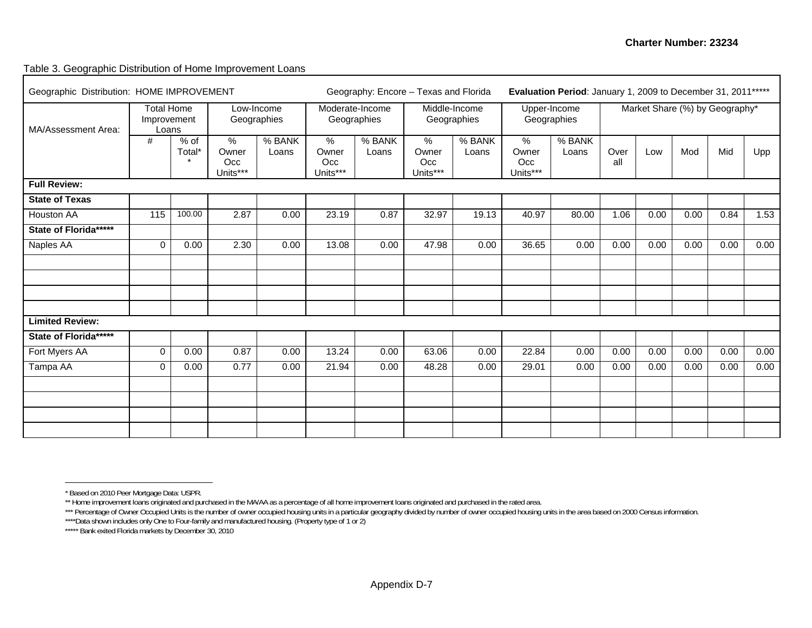#### Table 3. Geographic Distribution of Home Improvement Loans

| Geographic Distribution: HOME IMPROVEMENT |             |                                           |                                           |                           |                                           | Geography: Encore - Texas and Florida |                                  | Evaluation Period: January 1, 2009 to December 31, 2011 ***** |                                  |                 |                                |      |      |      |      |  |
|-------------------------------------------|-------------|-------------------------------------------|-------------------------------------------|---------------------------|-------------------------------------------|---------------------------------------|----------------------------------|---------------------------------------------------------------|----------------------------------|-----------------|--------------------------------|------|------|------|------|--|
| MA/Assessment Area:                       |             | <b>Total Home</b><br>Improvement<br>Loans |                                           | Low-Income<br>Geographies |                                           | Moderate-Income<br>Geographies        |                                  | Middle-Income<br>Geographies                                  | Upper-Income<br>Geographies      |                 | Market Share (%) by Geography* |      |      |      |      |  |
|                                           | #           | $%$ of<br>Total*<br>$\star$               | $\frac{9}{6}$<br>Owner<br>Occ<br>Units*** | % BANK<br>Loans           | $\frac{9}{6}$<br>Owner<br>Occ<br>Units*** | % BANK<br>Loans                       | $\%$<br>Owner<br>Occ<br>Units*** | % BANK<br>Loans                                               | $\%$<br>Owner<br>Occ<br>Units*** | % BANK<br>Loans | Over<br>all                    | Low  | Mod  | Mid  | Upp  |  |
| <b>Full Review:</b>                       |             |                                           |                                           |                           |                                           |                                       |                                  |                                                               |                                  |                 |                                |      |      |      |      |  |
| <b>State of Texas</b>                     |             |                                           |                                           |                           |                                           |                                       |                                  |                                                               |                                  |                 |                                |      |      |      |      |  |
| Houston AA                                | 115         | 100.00                                    | 2.87                                      | 0.00                      | 23.19                                     | 0.87                                  | 32.97                            | 19.13                                                         | 40.97                            | 80.00           | 1.06                           | 0.00 | 0.00 | 0.84 | 1.53 |  |
| State of Florida*****                     |             |                                           |                                           |                           |                                           |                                       |                                  |                                                               |                                  |                 |                                |      |      |      |      |  |
| Naples AA                                 | $\Omega$    | 0.00                                      | 2.30                                      | 0.00                      | 13.08                                     | 0.00                                  | 47.98                            | 0.00                                                          | 36.65                            | 0.00            | 0.00                           | 0.00 | 0.00 | 0.00 | 0.00 |  |
|                                           |             |                                           |                                           |                           |                                           |                                       |                                  |                                                               |                                  |                 |                                |      |      |      |      |  |
| <b>Limited Review:</b>                    |             |                                           |                                           |                           |                                           |                                       |                                  |                                                               |                                  |                 |                                |      |      |      |      |  |
| State of Florida*****                     |             |                                           |                                           |                           |                                           |                                       |                                  |                                                               |                                  |                 |                                |      |      |      |      |  |
| Fort Myers AA                             | $\Omega$    | 0.00                                      | 0.87                                      | 0.00                      | 13.24                                     | 0.00                                  | 63.06                            | 0.00                                                          | 22.84                            | 0.00            | 0.00                           | 0.00 | 0.00 | 0.00 | 0.00 |  |
| Tampa AA                                  | $\mathbf 0$ | 0.00                                      | 0.77                                      | 0.00                      | 21.94                                     | 0.00                                  | 48.28                            | 0.00                                                          | 29.01                            | 0.00            | 0.00                           | 0.00 | 0.00 | 0.00 | 0.00 |  |
|                                           |             |                                           |                                           |                           |                                           |                                       |                                  |                                                               |                                  |                 |                                |      |      |      |      |  |
|                                           |             |                                           |                                           |                           |                                           |                                       |                                  |                                                               |                                  |                 |                                |      |      |      |      |  |

<sup>\*</sup> Based on 2010 Peer Mortgage Data: USPR.

<sup>\*\*</sup> Home improvement loans originated and purchased in the MA/AA as a percentage of all home improvement loans originated and purchased in the rated area.

<sup>\*\*\*</sup> Percentage of Owner Occupied Units is the number of owner occupied housing units in a particular geography divided by number of owner occupied housing units in the area based on 2000 Census information.

<sup>\*\*\*\*</sup>Data shown includes only One to Four-family and manufactured housing. (Property type of 1 or 2)

<sup>\*\*\*\*\*</sup> Bank exited Florida markets by December 30, 2010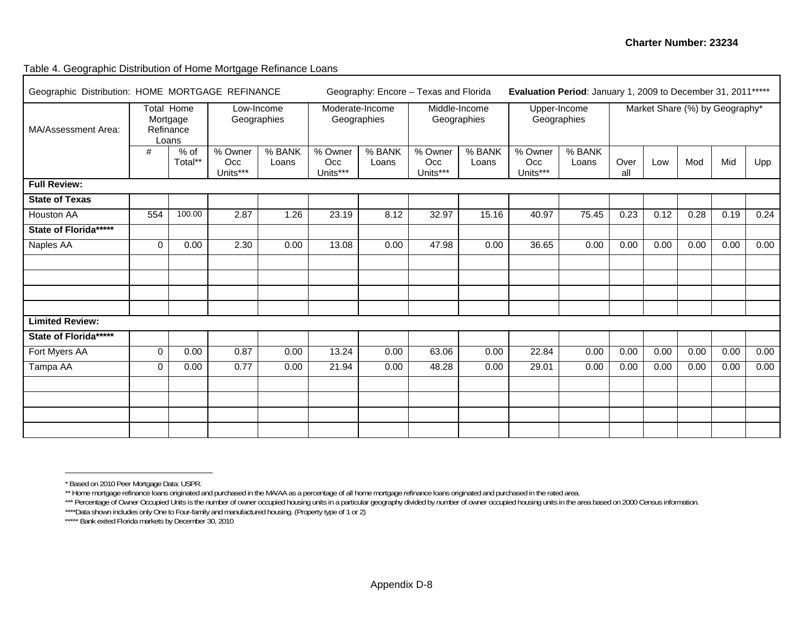#### Table 4. Geographic Distribution of Home Mortgage Refinance Loans

| Geographic Distribution: HOME MORTGAGE REFINANCE |                                                     |                 |                            |                 |                                |                 | Geography: Encore - Texas and Florida |                 | Evaluation Period: January 1, 2009 to December 31, 2011 ***** |                 |                                |      |      |      |      |
|--------------------------------------------------|-----------------------------------------------------|-----------------|----------------------------|-----------------|--------------------------------|-----------------|---------------------------------------|-----------------|---------------------------------------------------------------|-----------------|--------------------------------|------|------|------|------|
| MA/Assessment Area:                              | <b>Total Home</b><br>Mortgage<br>Refinance<br>Loans |                 | Low-Income<br>Geographies  |                 | Moderate-Income<br>Geographies |                 | Middle-Income<br>Geographies          |                 | Upper-Income<br>Geographies                                   |                 | Market Share (%) by Geography* |      |      |      |      |
|                                                  | #                                                   | % of<br>Total** | % Owner<br>Occ<br>Units*** | % BANK<br>Loans | % Owner<br>Occ<br>Units***     | % BANK<br>Loans | % Owner<br>Occ<br>Units***            | % BANK<br>Loans | % Owner<br>Occ.<br>Units***                                   | % BANK<br>Loans | Over<br>all                    | Low  | Mod  | Mid  | Upp  |
| <b>Full Review:</b>                              |                                                     |                 |                            |                 |                                |                 |                                       |                 |                                                               |                 |                                |      |      |      |      |
| <b>State of Texas</b>                            |                                                     |                 |                            |                 |                                |                 |                                       |                 |                                                               |                 |                                |      |      |      |      |
| <b>Houston AA</b>                                | 554                                                 | 100.00          | 2.87                       | 1.26            | 23.19                          | 8.12            | 32.97                                 | 15.16           | 40.97                                                         | 75.45           | 0.23                           | 0.12 | 0.28 | 0.19 | 0.24 |
| State of Florida*****                            |                                                     |                 |                            |                 |                                |                 |                                       |                 |                                                               |                 |                                |      |      |      |      |
| Naples AA                                        | 0                                                   | 0.00            | 2.30                       | 0.00            | 13.08                          | 0.00            | 47.98                                 | 0.00            | 36.65                                                         | 0.00            | 0.00                           | 0.00 | 0.00 | 0.00 | 0.00 |
|                                                  |                                                     |                 |                            |                 |                                |                 |                                       |                 |                                                               |                 |                                |      |      |      |      |
|                                                  |                                                     |                 |                            |                 |                                |                 |                                       |                 |                                                               |                 |                                |      |      |      |      |
|                                                  |                                                     |                 |                            |                 |                                |                 |                                       |                 |                                                               |                 |                                |      |      |      |      |
|                                                  |                                                     |                 |                            |                 |                                |                 |                                       |                 |                                                               |                 |                                |      |      |      |      |
| <b>Limited Review:</b>                           |                                                     |                 |                            |                 |                                |                 |                                       |                 |                                                               |                 |                                |      |      |      |      |
| State of Florida******                           |                                                     |                 |                            |                 |                                |                 |                                       |                 |                                                               |                 |                                |      |      |      |      |
| Fort Myers AA                                    | 0                                                   | 0.00            | 0.87                       | 0.00            | 13.24                          | 0.00            | 63.06                                 | 0.00            | 22.84                                                         | 0.00            | 0.00                           | 0.00 | 0.00 | 0.00 | 0.00 |
| Tampa AA                                         | $\mathbf 0$                                         | 0.00            | 0.77                       | 0.00            | 21.94                          | 0.00            | 48.28                                 | 0.00            | 29.01                                                         | 0.00            | 0.00                           | 0.00 | 0.00 | 0.00 | 0.00 |
|                                                  |                                                     |                 |                            |                 |                                |                 |                                       |                 |                                                               |                 |                                |      |      |      |      |
|                                                  |                                                     |                 |                            |                 |                                |                 |                                       |                 |                                                               |                 |                                |      |      |      |      |
|                                                  |                                                     |                 |                            |                 |                                |                 |                                       |                 |                                                               |                 |                                |      |      |      |      |
|                                                  |                                                     |                 |                            |                 |                                |                 |                                       |                 |                                                               |                 |                                |      |      |      |      |

<sup>\*</sup> Based on 2010 Peer Mortgage Data: USPR.

<sup>\*\*</sup> Home mortgage refinance loans originated and purchased in the MA/AA as a percentage of all home mortgage refinance loans originated and purchased in the rated area.

<sup>\*\*\*</sup> Percentage of Owner Occupied Units is the number of owner occupied housing units in a particular geography divided by number of owner occupied housing units in the area based on 2000 Census information.

<sup>\*\*\*\*</sup>Data shown includes only One to Four-family and manufactured housing. (Property type of 1 or 2)

<sup>\*\*\*\*\*</sup> Bank exited Florida markets by December 30, 2010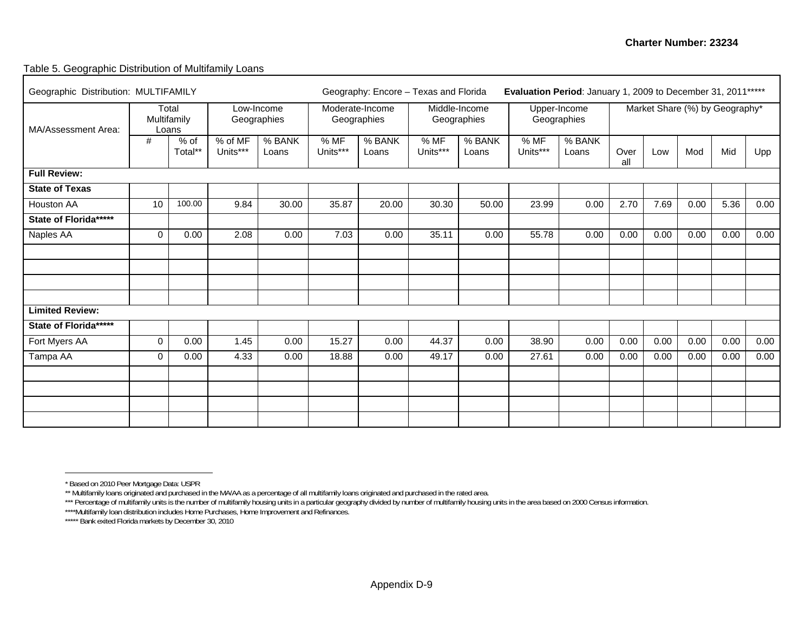#### Table 5. Geographic Distribution of Multifamily Loans

| Geographic Distribution: MULTIFAMILY<br>Total<br>Low-Income |             |                      |                     |                 | Geography: Encore - Texas and Florida |                                |                  |                              |                  |                             | Evaluation Period: January 1, 2009 to December 31, 2011 ***** |      |      |                                |      |  |
|-------------------------------------------------------------|-------------|----------------------|---------------------|-----------------|---------------------------------------|--------------------------------|------------------|------------------------------|------------------|-----------------------------|---------------------------------------------------------------|------|------|--------------------------------|------|--|
| MA/Assessment Area:                                         |             | Multifamily<br>Loans |                     | Geographies     |                                       | Moderate-Income<br>Geographies |                  | Middle-Income<br>Geographies |                  | Upper-Income<br>Geographies |                                                               |      |      | Market Share (%) by Geography* |      |  |
|                                                             | #           | $%$ of<br>Total**    | % of MF<br>Units*** | % BANK<br>Loans | % MF<br>Units***                      | % BANK<br>Loans                | % MF<br>Units*** | % BANK<br>Loans              | % MF<br>Units*** | % BANK<br>Loans             | Over<br>all                                                   | Low  | Mod  | Mid                            | Upp  |  |
| <b>Full Review:</b>                                         |             |                      |                     |                 |                                       |                                |                  |                              |                  |                             |                                                               |      |      |                                |      |  |
| <b>State of Texas</b>                                       |             |                      |                     |                 |                                       |                                |                  |                              |                  |                             |                                                               |      |      |                                |      |  |
| Houston AA                                                  | 10          | 100.00               | 9.84                | 30.00           | 35.87                                 | 20.00                          | 30.30            | 50.00                        | 23.99            | 0.00                        | 2.70                                                          | 7.69 | 0.00 | 5.36                           | 0.00 |  |
| State of Florida*****                                       |             |                      |                     |                 |                                       |                                |                  |                              |                  |                             |                                                               |      |      |                                |      |  |
| Naples AA                                                   | $\Omega$    | 0.00                 | 2.08                | 0.00            | 7.03                                  | 0.00                           | 35.11            | 0.00                         | 55.78            | 0.00                        | 0.00                                                          | 0.00 | 0.00 | 0.00                           | 0.00 |  |
|                                                             |             |                      |                     |                 |                                       |                                |                  |                              |                  |                             |                                                               |      |      |                                |      |  |
|                                                             |             |                      |                     |                 |                                       |                                |                  |                              |                  |                             |                                                               |      |      |                                |      |  |
|                                                             |             |                      |                     |                 |                                       |                                |                  |                              |                  |                             |                                                               |      |      |                                |      |  |
| <b>Limited Review:</b>                                      |             |                      |                     |                 |                                       |                                |                  |                              |                  |                             |                                                               |      |      |                                |      |  |
| State of Florida******                                      |             |                      |                     |                 |                                       |                                |                  |                              |                  |                             |                                                               |      |      |                                |      |  |
| Fort Myers AA                                               | $\Omega$    | 0.00                 | 1.45                | 0.00            | 15.27                                 | 0.00                           | 44.37            | 0.00                         | 38.90            | 0.00                        | 0.00                                                          | 0.00 | 0.00 | 0.00                           | 0.00 |  |
| Tampa AA                                                    | $\mathbf 0$ | 0.00                 | 4.33                | 0.00            | 18.88                                 | 0.00                           | 49.17            | 0.00                         | 27.61            | 0.00                        | 0.00                                                          | 0.00 | 0.00 | 0.00                           | 0.00 |  |
|                                                             |             |                      |                     |                 |                                       |                                |                  |                              |                  |                             |                                                               |      |      |                                |      |  |
|                                                             |             |                      |                     |                 |                                       |                                |                  |                              |                  |                             |                                                               |      |      |                                |      |  |
|                                                             |             |                      |                     |                 |                                       |                                |                  |                              |                  |                             |                                                               |      |      |                                |      |  |
|                                                             |             |                      |                     |                 |                                       |                                |                  |                              |                  |                             |                                                               |      |      |                                |      |  |

<sup>\*</sup> Based on 2010 Peer Mortgage Data: USPR

<sup>\*\*</sup> Multifamily loans originated and purchased in the MA/AA as a percentage of all multifamily loans originated and purchased in the rated area.

<sup>\*\*\*</sup> Percentage of multifamily units is the number of multifamily housing units in a particular geography divided by number of multifamily housing units in the area based on 2000 Census information.

<sup>\*\*\*\*</sup>Multifamily loan distribution includes Home Purchases, Home Improvement and Refinances.

<sup>\*\*\*\*\*\*</sup> Bank exited Florida markets by December 30, 2010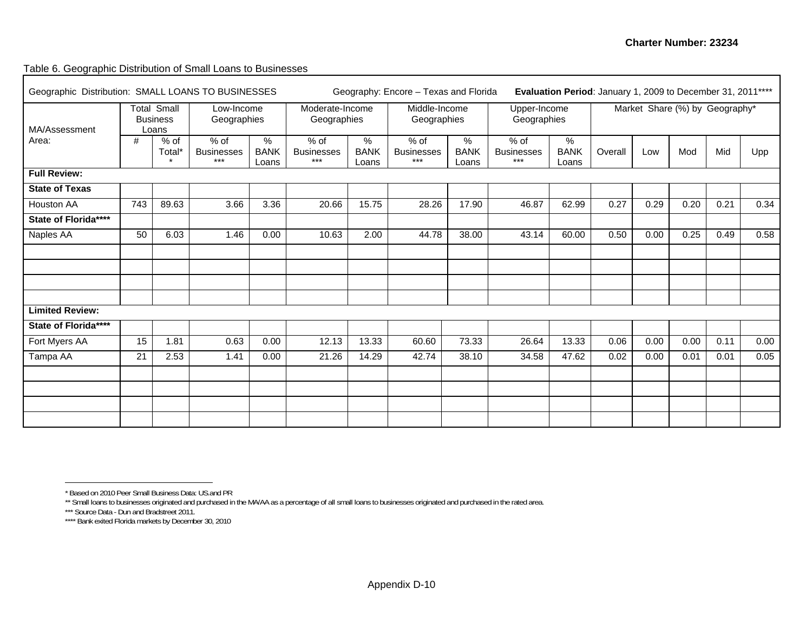Table 6. Geographic Distribution of Small Loans to Businesses

| Geographic Distribution: SMALL LOANS TO BUSINESSES<br><b>Total Small</b> |     |                          |                                      |                           |                                    |                           | Geography: Encore - Texas and Florida | Evaluation Period: January 1, 2009 to December 31, 2011**** |                                      |                                       |         |      |                                |      |      |
|--------------------------------------------------------------------------|-----|--------------------------|--------------------------------------|---------------------------|------------------------------------|---------------------------|---------------------------------------|-------------------------------------------------------------|--------------------------------------|---------------------------------------|---------|------|--------------------------------|------|------|
| MA/Assessment                                                            |     | <b>Business</b><br>Loans | Low-Income<br>Geographies            |                           | Moderate-Income<br>Geographies     |                           | Middle-Income<br>Geographies          |                                                             | Upper-Income<br>Geographies          |                                       |         |      | Market Share (%) by Geography* |      |      |
| Area:                                                                    | #   | % of<br>Total*           | $%$ of<br><b>Businesses</b><br>$***$ | ℅<br><b>BANK</b><br>Loans | % of<br><b>Businesses</b><br>$***$ | %<br><b>BANK</b><br>Loans | % of<br><b>Businesses</b><br>$***$    | $\%$<br><b>BANK</b><br>Loans                                | $%$ of<br><b>Businesses</b><br>$***$ | $\frac{9}{6}$<br><b>BANK</b><br>Loans | Overall | Low  | Mod                            | Mid  | Upp  |
| <b>Full Review:</b>                                                      |     |                          |                                      |                           |                                    |                           |                                       |                                                             |                                      |                                       |         |      |                                |      |      |
| <b>State of Texas</b>                                                    |     |                          |                                      |                           |                                    |                           |                                       |                                                             |                                      |                                       |         |      |                                |      |      |
| Houston AA                                                               | 743 | 89.63                    | 3.66                                 | 3.36                      | 20.66                              | 15.75                     | 28.26                                 | 17.90                                                       | 46.87                                | 62.99                                 | 0.27    | 0.29 | 0.20                           | 0.21 | 0.34 |
| State of Florida****                                                     |     |                          |                                      |                           |                                    |                           |                                       |                                                             |                                      |                                       |         |      |                                |      |      |
| Naples AA                                                                | 50  | 6.03                     | 1.46                                 | 0.00                      | 10.63                              | 2.00                      | 44.78                                 | 38.00                                                       | 43.14                                | 60.00                                 | 0.50    | 0.00 | 0.25                           | 0.49 | 0.58 |
|                                                                          |     |                          |                                      |                           |                                    |                           |                                       |                                                             |                                      |                                       |         |      |                                |      |      |
|                                                                          |     |                          |                                      |                           |                                    |                           |                                       |                                                             |                                      |                                       |         |      |                                |      |      |
|                                                                          |     |                          |                                      |                           |                                    |                           |                                       |                                                             |                                      |                                       |         |      |                                |      |      |
|                                                                          |     |                          |                                      |                           |                                    |                           |                                       |                                                             |                                      |                                       |         |      |                                |      |      |
| <b>Limited Review:</b>                                                   |     |                          |                                      |                           |                                    |                           |                                       |                                                             |                                      |                                       |         |      |                                |      |      |
| State of Florida****                                                     |     |                          |                                      |                           |                                    |                           |                                       |                                                             |                                      |                                       |         |      |                                |      |      |
| Fort Myers AA                                                            | 15  | 1.81                     | 0.63                                 | 0.00                      | 12.13                              | 13.33                     | 60.60                                 | 73.33                                                       | 26.64                                | 13.33                                 | 0.06    | 0.00 | 0.00                           | 0.11 | 0.00 |
| Tampa AA                                                                 | 21  | 2.53                     | 1.41                                 | 0.00                      | 21.26                              | 14.29                     | 42.74                                 | 38.10                                                       | 34.58                                | 47.62                                 | 0.02    | 0.00 | 0.01                           | 0.01 | 0.05 |
|                                                                          |     |                          |                                      |                           |                                    |                           |                                       |                                                             |                                      |                                       |         |      |                                |      |      |
|                                                                          |     |                          |                                      |                           |                                    |                           |                                       |                                                             |                                      |                                       |         |      |                                |      |      |
|                                                                          |     |                          |                                      |                           |                                    |                           |                                       |                                                             |                                      |                                       |         |      |                                |      |      |
|                                                                          |     |                          |                                      |                           |                                    |                           |                                       |                                                             |                                      |                                       |         |      |                                |      |      |

<sup>\*</sup> Based on 2010 Peer Small Business Data: US.and PR

<sup>\*\*</sup> Small loans to businesses originated and purchased in the MA/AA as a percentage of all small loans to businesses originated and purchased in the rated area.<br>\*\*\* Source Data - Dun and Bradstreet 2011.

<sup>\*\*\*\*</sup> Bank exited Florida markets by December 30, 2010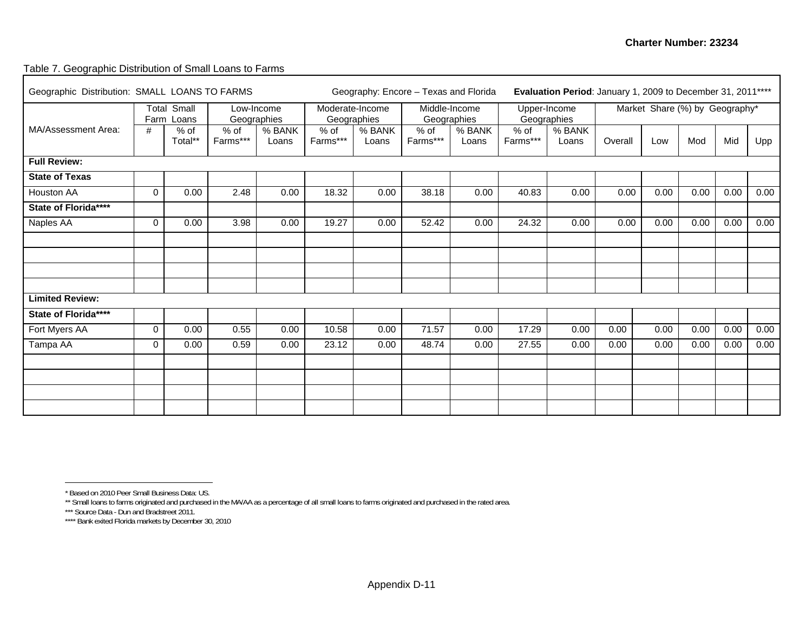#### Table 7. Geographic Distribution of Small Loans to Farms

| Geographic Distribution: SMALL LOANS TO FARMS |          |                                  |                    |                 | Geography: Encore - Texas and Florida |                 | Evaluation Period: January 1, 2009 to December 31, 2011**** |                              |                  |                             |         |                                |      |      |      |
|-----------------------------------------------|----------|----------------------------------|--------------------|-----------------|---------------------------------------|-----------------|-------------------------------------------------------------|------------------------------|------------------|-----------------------------|---------|--------------------------------|------|------|------|
|                                               |          | <b>Total Small</b><br>Farm Loans | Geographies        | Low-Income      | Moderate-Income                       | Geographies     |                                                             | Middle-Income<br>Geographies |                  | Upper-Income<br>Geographies |         | Market Share (%) by Geography* |      |      |      |
| MA/Assessment Area:                           | #        | $%$ of<br>Total**                | $%$ of<br>Farms*** | % BANK<br>Loans | $%$ of<br>Farms***                    | % BANK<br>Loans | $%$ of<br>Farms***                                          | % BANK<br>Loans              | % of<br>Farms*** | % BANK<br>Loans             | Overall | Low                            | Mod  | Mid  | Upp  |
| <b>Full Review:</b>                           |          |                                  |                    |                 |                                       |                 |                                                             |                              |                  |                             |         |                                |      |      |      |
| <b>State of Texas</b>                         |          |                                  |                    |                 |                                       |                 |                                                             |                              |                  |                             |         |                                |      |      |      |
| Houston AA                                    | $\Omega$ | 0.00                             | 2.48               | 0.00            | 18.32                                 | 0.00            | 38.18                                                       | 0.00                         | 40.83            | 0.00                        | 0.00    | 0.00                           | 0.00 | 0.00 | 0.00 |
| State of Florida****                          |          |                                  |                    |                 |                                       |                 |                                                             |                              |                  |                             |         |                                |      |      |      |
| Naples AA                                     | $\Omega$ | 0.00                             | 3.98               | 0.00            | 19.27                                 | 0.00            | 52.42                                                       | 0.00                         | 24.32            | 0.00                        | 0.00    | 0.00                           | 0.00 | 0.00 | 0.00 |
|                                               |          |                                  |                    |                 |                                       |                 |                                                             |                              |                  |                             |         |                                |      |      |      |
|                                               |          |                                  |                    |                 |                                       |                 |                                                             |                              |                  |                             |         |                                |      |      |      |
|                                               |          |                                  |                    |                 |                                       |                 |                                                             |                              |                  |                             |         |                                |      |      |      |
|                                               |          |                                  |                    |                 |                                       |                 |                                                             |                              |                  |                             |         |                                |      |      |      |
| <b>Limited Review:</b>                        |          |                                  |                    |                 |                                       |                 |                                                             |                              |                  |                             |         |                                |      |      |      |
| State of Florida****                          |          |                                  |                    |                 |                                       |                 |                                                             |                              |                  |                             |         |                                |      |      |      |
| Fort Myers AA                                 | $\Omega$ | 0.00                             | 0.55               | 0.00            | 10.58                                 | 0.00            | 71.57                                                       | 0.00                         | 17.29            | 0.00                        | 0.00    | 0.00                           | 0.00 | 0.00 | 0.00 |
| Tampa AA                                      | 0        | 0.00                             | 0.59               | 0.00            | 23.12                                 | 0.00            | 48.74                                                       | 0.00                         | 27.55            | 0.00                        | 0.00    | 0.00                           | 0.00 | 0.00 | 0.00 |
|                                               |          |                                  |                    |                 |                                       |                 |                                                             |                              |                  |                             |         |                                |      |      |      |
|                                               |          |                                  |                    |                 |                                       |                 |                                                             |                              |                  |                             |         |                                |      |      |      |
|                                               |          |                                  |                    |                 |                                       |                 |                                                             |                              |                  |                             |         |                                |      |      |      |
|                                               |          |                                  |                    |                 |                                       |                 |                                                             |                              |                  |                             |         |                                |      |      |      |

<sup>\*</sup> Based on 2010 Peer Small Business Data: US.

<sup>\*\*</sup> Small loans to farms originated and purchased in the MA/AA as a percentage of all small loans to farms originated and purchased in the rated area.<br>\*\*\* Source Data - Dun and Bradstreet 2011.

<sup>\*\*\*\*</sup> Bank exited Florida markets by December 30, 2010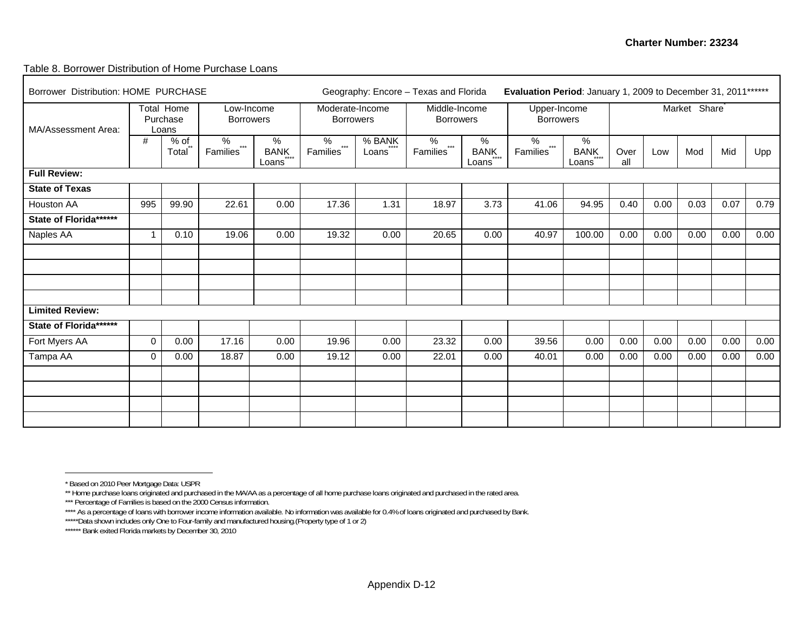#### Table 8. Borrower Distribution of Home Purchase Loans

| Borrower Distribution: HOME PURCHASE |             |                                 | Geography: Encore - Texas and Florida | Evaluation Period: January 1, 2009 to December 31, 2011 ****** |                                     |                         |                                   |                           |                                     |                                    |             |      |                           |      |      |
|--------------------------------------|-------------|---------------------------------|---------------------------------------|----------------------------------------------------------------|-------------------------------------|-------------------------|-----------------------------------|---------------------------|-------------------------------------|------------------------------------|-------------|------|---------------------------|------|------|
| MA/Assessment Area:                  |             | Total Home<br>Purchase<br>Loans | Low-Income<br><b>Borrowers</b>        |                                                                | Moderate-Income<br><b>Borrowers</b> |                         | Middle-Income<br><b>Borrowers</b> |                           | Upper-Income<br><b>Borrowers</b>    |                                    |             |      | Market Share <sup>®</sup> |      |      |
|                                      | #           | $%$ of<br>Total                 | ℅<br>$***$<br>Families                | $\%$<br>BANK<br>Loans                                          | %<br>$***$<br>Families <sup>*</sup> | % BANK<br>****<br>Loans | %<br>$***$<br>Families"           | %<br><b>BANK</b><br>Loans | %<br>$***$<br>Families <sup>*</sup> | %<br><b>BANK</b><br>$***$<br>Loans | Over<br>all | Low  | Mod                       | Mid  | Upp  |
| <b>Full Review:</b>                  |             |                                 |                                       |                                                                |                                     |                         |                                   |                           |                                     |                                    |             |      |                           |      |      |
| <b>State of Texas</b>                |             |                                 |                                       |                                                                |                                     |                         |                                   |                           |                                     |                                    |             |      |                           |      |      |
| Houston AA                           | 995         | 99.90                           | 22.61                                 | 0.00                                                           | 17.36                               | 1.31                    | 18.97                             | 3.73                      | 41.06                               | 94.95                              | 0.40        | 0.00 | 0.03                      | 0.07 | 0.79 |
| State of Florida ******              |             |                                 |                                       |                                                                |                                     |                         |                                   |                           |                                     |                                    |             |      |                           |      |      |
| Naples AA                            | $\mathbf 1$ | 0.10                            | 19.06                                 | 0.00                                                           | 19.32                               | 0.00                    | 20.65                             | 0.00                      | 40.97                               | 100.00                             | 0.00        | 0.00 | 0.00                      | 0.00 | 0.00 |
|                                      |             |                                 |                                       |                                                                |                                     |                         |                                   |                           |                                     |                                    |             |      |                           |      |      |
|                                      |             |                                 |                                       |                                                                |                                     |                         |                                   |                           |                                     |                                    |             |      |                           |      |      |
|                                      |             |                                 |                                       |                                                                |                                     |                         |                                   |                           |                                     |                                    |             |      |                           |      |      |
|                                      |             |                                 |                                       |                                                                |                                     |                         |                                   |                           |                                     |                                    |             |      |                           |      |      |
| <b>Limited Review:</b>               |             |                                 |                                       |                                                                |                                     |                         |                                   |                           |                                     |                                    |             |      |                           |      |      |
| State of Florida *******             |             |                                 |                                       |                                                                |                                     |                         |                                   |                           |                                     |                                    |             |      |                           |      |      |
| Fort Myers AA                        | $\mathbf 0$ | 0.00                            | 17.16                                 | 0.00                                                           | 19.96                               | 0.00                    | 23.32                             | 0.00                      | 39.56                               | 0.00                               | 0.00        | 0.00 | 0.00                      | 0.00 | 0.00 |
| Tampa AA                             | 0           | 0.00                            | 18.87                                 | 0.00                                                           | 19.12                               | 0.00                    | 22.01                             | 0.00                      | 40.01                               | 0.00                               | 0.00        | 0.00 | 0.00                      | 0.00 | 0.00 |
|                                      |             |                                 |                                       |                                                                |                                     |                         |                                   |                           |                                     |                                    |             |      |                           |      |      |
|                                      |             |                                 |                                       |                                                                |                                     |                         |                                   |                           |                                     |                                    |             |      |                           |      |      |
|                                      |             |                                 |                                       |                                                                |                                     |                         |                                   |                           |                                     |                                    |             |      |                           |      |      |
|                                      |             |                                 |                                       |                                                                |                                     |                         |                                   |                           |                                     |                                    |             |      |                           |      |      |

<sup>\*</sup> Based on 2010 Peer Mortgage Data: USPR

<sup>\*\*</sup> Home purchase loans originated and purchased in the MA/AA as a percentage of all home purchase loans originated and purchased in the rated area.

<sup>\*\*\*</sup> Percentage of Families is based on the 2000 Census information.

<sup>\*\*\*\*</sup> As a percentage of loans with borrower income information available. No information was available for 0.4% of loans originated and purchased by Bank.

<sup>\*\*\*\*\*</sup>Data shown includes only One to Four-family and manufactured housing.(Property type of 1 or 2)

<sup>\*\*\*\*\*\*</sup> Bank exited Florida markets by December 30, 2010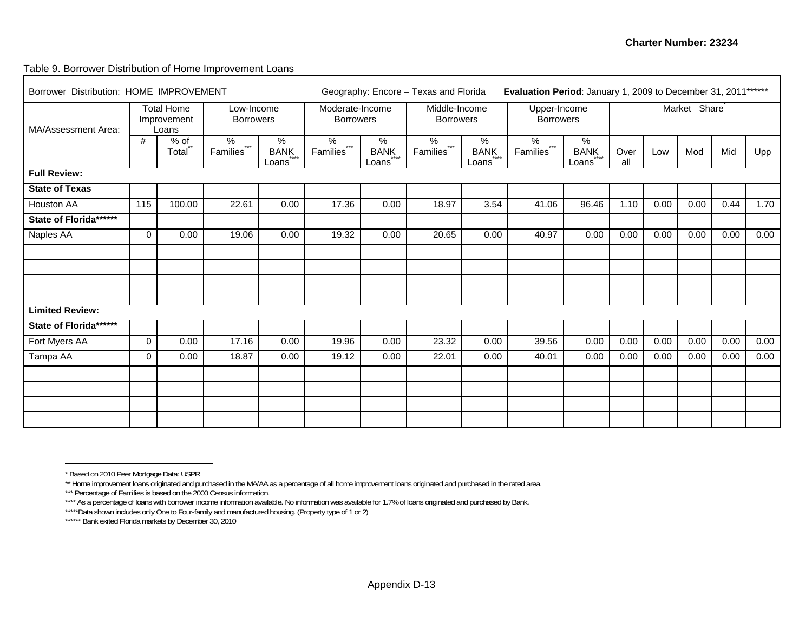#### Table 9. Borrower Distribution of Home Improvement Loans

| Borrower Distribution: HOME IMPROVEMENT | Geography: Encore - Texas and Florida |                                           |                                        |                           |                                        | Evaluation Period: January 1, 2009 to December 31, 2011****** |                                        |                           |                                        |                           |             |      |                           |      |      |
|-----------------------------------------|---------------------------------------|-------------------------------------------|----------------------------------------|---------------------------|----------------------------------------|---------------------------------------------------------------|----------------------------------------|---------------------------|----------------------------------------|---------------------------|-------------|------|---------------------------|------|------|
| MA/Assessment Area:                     |                                       | <b>Total Home</b><br>Improvement<br>Loans | Low-Income<br><b>Borrowers</b>         |                           | Moderate-Income<br><b>Borrowers</b>    |                                                               | Middle-Income<br><b>Borrowers</b>      |                           | Upper-Income<br><b>Borrowers</b>       |                           |             |      | Market Share <sup>®</sup> |      |      |
|                                         | #                                     | $%$ of<br>Total**                         | $\%$<br>$***$<br>Families <sup>®</sup> | %<br><b>BANK</b><br>Loans | $\%$<br>$***$<br>Families <sup>"</sup> | %<br><b>BANK</b><br>Loans                                     | $\%$<br>$***$<br>Families <sup>"</sup> | %<br><b>BANK</b><br>Loans | $\%$<br>$***$<br>Families <sup>®</sup> | %<br><b>BANK</b><br>Loans | Over<br>all | Low  | Mod                       | Mid  | Upp  |
| <b>Full Review:</b>                     |                                       |                                           |                                        |                           |                                        |                                                               |                                        |                           |                                        |                           |             |      |                           |      |      |
| <b>State of Texas</b>                   |                                       |                                           |                                        |                           |                                        |                                                               |                                        |                           |                                        |                           |             |      |                           |      |      |
| Houston AA                              | 115                                   | 100.00                                    | 22.61                                  | 0.00                      | 17.36                                  | 0.00                                                          | 18.97                                  | 3.54                      | $\overline{4}1.06$                     | 96.46                     | 1.10        | 0.00 | 0.00                      | 0.44 | 1.70 |
| State of Florida ******                 |                                       |                                           |                                        |                           |                                        |                                                               |                                        |                           |                                        |                           |             |      |                           |      |      |
| Naples AA                               | 0                                     | 0.00                                      | 19.06                                  | 0.00                      | 19.32                                  | 0.00                                                          | 20.65                                  | 0.00                      | 40.97                                  | 0.00                      | 0.00        | 0.00 | 0.00                      | 0.00 | 0.00 |
|                                         |                                       |                                           |                                        |                           |                                        |                                                               |                                        |                           |                                        |                           |             |      |                           |      |      |
|                                         |                                       |                                           |                                        |                           |                                        |                                                               |                                        |                           |                                        |                           |             |      |                           |      |      |
|                                         |                                       |                                           |                                        |                           |                                        |                                                               |                                        |                           |                                        |                           |             |      |                           |      |      |
|                                         |                                       |                                           |                                        |                           |                                        |                                                               |                                        |                           |                                        |                           |             |      |                           |      |      |
| <b>Limited Review:</b>                  |                                       |                                           |                                        |                           |                                        |                                                               |                                        |                           |                                        |                           |             |      |                           |      |      |
| State of Florida *******                |                                       |                                           |                                        |                           |                                        |                                                               |                                        |                           |                                        |                           |             |      |                           |      |      |
| Fort Myers AA                           | $\mathbf 0$                           | 0.00                                      | 17.16                                  | 0.00                      | 19.96                                  | 0.00                                                          | 23.32                                  | 0.00                      | 39.56                                  | 0.00                      | 0.00        | 0.00 | 0.00                      | 0.00 | 0.00 |
| Tampa AA                                | $\mathbf 0$                           | 0.00                                      | 18.87                                  | 0.00                      | 19.12                                  | 0.00                                                          | 22.01                                  | 0.00                      | 40.01                                  | 0.00                      | 0.00        | 0.00 | 0.00                      | 0.00 | 0.00 |
|                                         |                                       |                                           |                                        |                           |                                        |                                                               |                                        |                           |                                        |                           |             |      |                           |      |      |
|                                         |                                       |                                           |                                        |                           |                                        |                                                               |                                        |                           |                                        |                           |             |      |                           |      |      |
|                                         |                                       |                                           |                                        |                           |                                        |                                                               |                                        |                           |                                        |                           |             |      |                           |      |      |
|                                         |                                       |                                           |                                        |                           |                                        |                                                               |                                        |                           |                                        |                           |             |      |                           |      |      |

<sup>\*</sup> Based on 2010 Peer Mortgage Data: USPR

<sup>\*\*</sup> Home improvement loans originated and purchased in the MA/AA as a percentage of all home improvement loans originated and purchased in the rated area.

<sup>\*\*\*</sup> Percentage of Families is based on the 2000 Census information.

<sup>\*\*\*\*</sup> As a percentage of loans with borrower income information available. No information was available for 1.7% of loans originated and purchased by Bank.

<sup>\*\*\*\*\*</sup>Data shown includes only One to Four-family and manufactured housing. (Property type of 1 or 2)

<sup>\*\*\*\*\*\*</sup> Bank exited Florida markets by December 30, 2010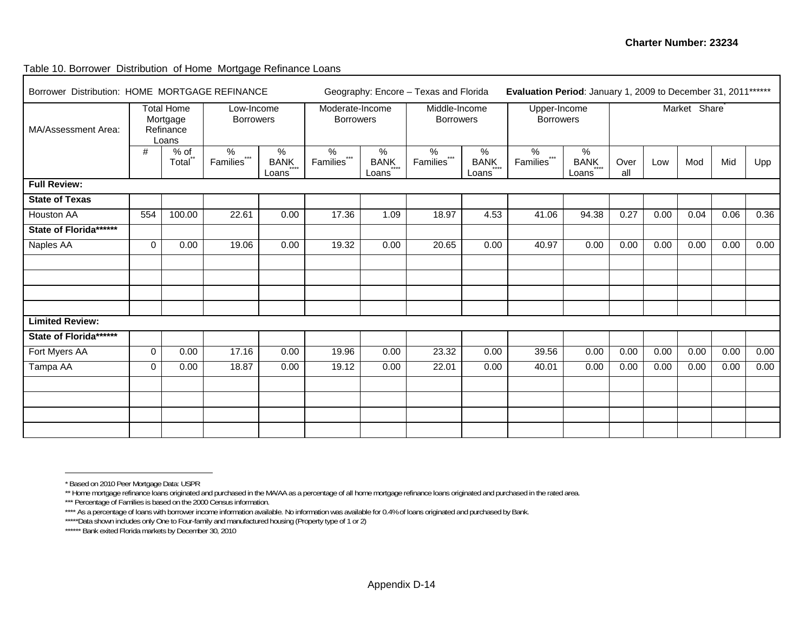Table 10. Borrower Distribution of Home Mortgage Refinance Loans

| Borrower Distribution: HOME MORTGAGE REFINANCE<br><b>Total Home</b><br>Low-Income |             |                                |                           |                       |                                     |                       | Geography: Encore - Texas and Florida |                       | Evaluation Period: January 1, 2009 to December 31, 2011****** |                       |             |      |                           |      |      |
|-----------------------------------------------------------------------------------|-------------|--------------------------------|---------------------------|-----------------------|-------------------------------------|-----------------------|---------------------------------------|-----------------------|---------------------------------------------------------------|-----------------------|-------------|------|---------------------------|------|------|
| MA/Assessment Area:                                                               |             | Mortgage<br>Refinance<br>Loans | <b>Borrowers</b>          |                       | Moderate-Income<br><b>Borrowers</b> |                       | Middle-Income<br><b>Borrowers</b>     |                       | Upper-Income<br><b>Borrowers</b>                              |                       |             |      | Market Share <sup>®</sup> |      |      |
|                                                                                   | #           | $%$ of<br>Total                | $\%$<br>$***$<br>Families | $\%$<br>BANK<br>Loans | $\frac{9}{6}$<br>$***$<br>Families  | $\%$<br>BANK<br>Loans | $\frac{9}{6}$<br>$***$<br>Families    | $\%$<br>BANK<br>Loans | $\frac{8}{6}$<br>$***$<br>Families                            | $\%$<br>BANK<br>Loans | Over<br>all | Low  | Mod                       | Mid  | Upp  |
| <b>Full Review:</b>                                                               |             |                                |                           |                       |                                     |                       |                                       |                       |                                                               |                       |             |      |                           |      |      |
| <b>State of Texas</b>                                                             |             |                                |                           |                       |                                     |                       |                                       |                       |                                                               |                       |             |      |                           |      |      |
| Houston AA                                                                        | 554         | 100.00                         | 22.61                     | 0.00                  | 17.36                               | 1.09                  | 18.97                                 | 4.53                  | 41.06                                                         | 94.38                 | 0.27        | 0.00 | 0.04                      | 0.06 | 0.36 |
| State of Florida ******                                                           |             |                                |                           |                       |                                     |                       |                                       |                       |                                                               |                       |             |      |                           |      |      |
| Naples AA                                                                         | $\mathbf 0$ | 0.00                           | 19.06                     | 0.00                  | 19.32                               | 0.00                  | 20.65                                 | 0.00                  | 40.97                                                         | 0.00                  | 0.00        | 0.00 | 0.00                      | 0.00 | 0.00 |
|                                                                                   |             |                                |                           |                       |                                     |                       |                                       |                       |                                                               |                       |             |      |                           |      |      |
|                                                                                   |             |                                |                           |                       |                                     |                       |                                       |                       |                                                               |                       |             |      |                           |      |      |
|                                                                                   |             |                                |                           |                       |                                     |                       |                                       |                       |                                                               |                       |             |      |                           |      |      |
|                                                                                   |             |                                |                           |                       |                                     |                       |                                       |                       |                                                               |                       |             |      |                           |      |      |
| <b>Limited Review:</b>                                                            |             |                                |                           |                       |                                     |                       |                                       |                       |                                                               |                       |             |      |                           |      |      |
| State of Florida ******                                                           |             |                                |                           |                       |                                     |                       |                                       |                       |                                                               |                       |             |      |                           |      |      |
| Fort Myers AA                                                                     | $\mathbf 0$ | 0.00                           | 17.16                     | 0.00                  | 19.96                               | 0.00                  | 23.32                                 | 0.00                  | 39.56                                                         | 0.00                  | 0.00        | 0.00 | 0.00                      | 0.00 | 0.00 |
| Tampa AA                                                                          | $\mathbf 0$ | 0.00                           | 18.87                     | 0.00                  | 19.12                               | 0.00                  | 22.01                                 | 0.00                  | 40.01                                                         | 0.00                  | 0.00        | 0.00 | 0.00                      | 0.00 | 0.00 |
|                                                                                   |             |                                |                           |                       |                                     |                       |                                       |                       |                                                               |                       |             |      |                           |      |      |
|                                                                                   |             |                                |                           |                       |                                     |                       |                                       |                       |                                                               |                       |             |      |                           |      |      |
|                                                                                   |             |                                |                           |                       |                                     |                       |                                       |                       |                                                               |                       |             |      |                           |      |      |
|                                                                                   |             |                                |                           |                       |                                     |                       |                                       |                       |                                                               |                       |             |      |                           |      |      |

<sup>\*</sup> Based on 2010 Peer Mortgage Data: USPR

<sup>\*\*</sup> Home mortgage refinance loans originated and purchased in the MA/AA as a percentage of all home mortgage refinance loans originated and purchased in the rated area.

<sup>\*\*\*</sup> Percentage of Families is based on the 2000 Census information.

<sup>\*\*\*\*</sup> As a percentage of loans with borrower income information available. No information was available for 0.4% of loans originated and purchased by Bank.

<sup>\*\*\*\*\*</sup>Data shown includes only One to Four-family and manufactured housing (Property type of 1 or 2)

<sup>\*\*\*\*\*\*\*</sup> Bank exited Florida markets by December 30, 2010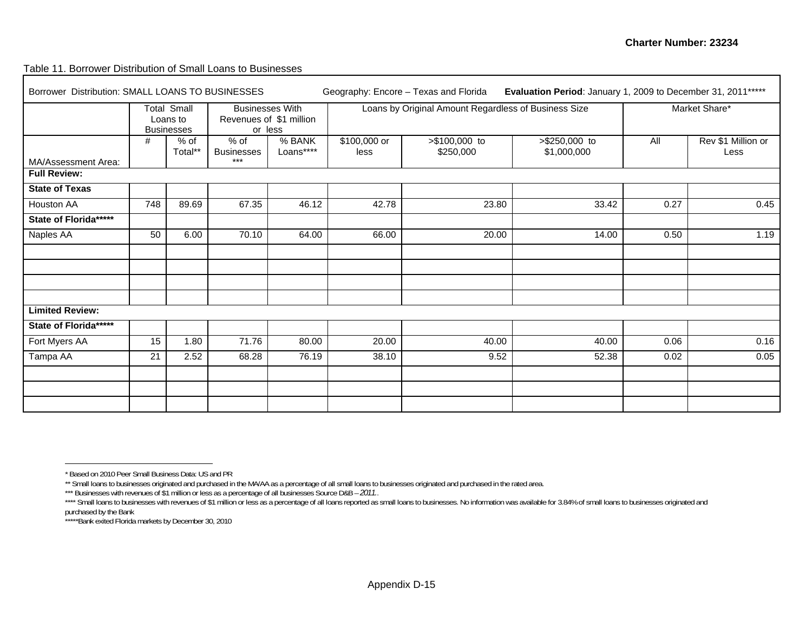Table 11. Borrower Distribution of Small Loans to Businesses

| Borrower Distribution: SMALL LOANS TO BUSINESSES |     |                                                     |                                      |                         |                      | Geography: Encore - Texas and Florida                | Evaluation Period: January 1, 2009 to December 31, 2011***** |      |                            |
|--------------------------------------------------|-----|-----------------------------------------------------|--------------------------------------|-------------------------|----------------------|------------------------------------------------------|--------------------------------------------------------------|------|----------------------------|
|                                                  |     | <b>Total Small</b><br>Loans to<br><b>Businesses</b> | <b>Businesses With</b><br>or less    | Revenues of \$1 million |                      | Loans by Original Amount Regardless of Business Size |                                                              |      | Market Share*              |
| MA/Assessment Area:                              | #   | $%$ of<br>Total**                                   | $%$ of<br><b>Businesses</b><br>$***$ | % BANK<br>Loans****     | \$100,000 or<br>less | >\$100,000 to<br>\$250,000                           | $> $250,000$ to<br>\$1,000,000                               | All  | Rev \$1 Million or<br>Less |
| <b>Full Review:</b>                              |     |                                                     |                                      |                         |                      |                                                      |                                                              |      |                            |
| <b>State of Texas</b>                            |     |                                                     |                                      |                         |                      |                                                      |                                                              |      |                            |
| Houston AA                                       | 748 | 89.69                                               | 67.35                                | 46.12                   | 42.78                | 23.80                                                | 33.42                                                        | 0.27 | 0.45                       |
| State of Florida*****                            |     |                                                     |                                      |                         |                      |                                                      |                                                              |      |                            |
| Naples AA                                        | 50  | 6.00                                                | 70.10                                | 64.00                   | 66.00                | 20.00                                                | 14.00                                                        | 0.50 | 1.19                       |
|                                                  |     |                                                     |                                      |                         |                      |                                                      |                                                              |      |                            |
|                                                  |     |                                                     |                                      |                         |                      |                                                      |                                                              |      |                            |
| <b>Limited Review:</b>                           |     |                                                     |                                      |                         |                      |                                                      |                                                              |      |                            |
| State of Florida*****                            |     |                                                     |                                      |                         |                      |                                                      |                                                              |      |                            |
| Fort Myers AA                                    | 15  | 1.80                                                | 71.76                                | 80.00                   | 20.00                | 40.00                                                | 40.00                                                        | 0.06 | 0.16                       |
| Tampa AA                                         | 21  | 2.52                                                | 68.28                                | 76.19                   | 38.10                | 9.52                                                 | 52.38                                                        | 0.02 | 0.05                       |
|                                                  |     |                                                     |                                      |                         |                      |                                                      |                                                              |      |                            |
|                                                  |     |                                                     |                                      |                         |                      |                                                      |                                                              |      |                            |
|                                                  |     |                                                     |                                      |                         |                      |                                                      |                                                              |      |                            |

<sup>\*</sup> Based on 2010 Peer Small Business Data: US and PR

<sup>\*\*</sup> Small loans to businesses originated and purchased in the MA/AA as a percentage of all small loans to businesses originated and purchased in the rated area.

<sup>\*\*\*</sup> Businesses with revenues of \$1 million or less as a percentage of all businesses Source D&B – 2011.

<sup>\*\*\*\*</sup> Small loans to businesses with revenues of \$1 million or less as a percentage of all loans reported as small loans to businesses. No information was available for 3.84% of small loans to businesses originated and purchased by the Bank

<sup>\*\*\*\*\*</sup>Bank exited Florida markets by December 30, 2010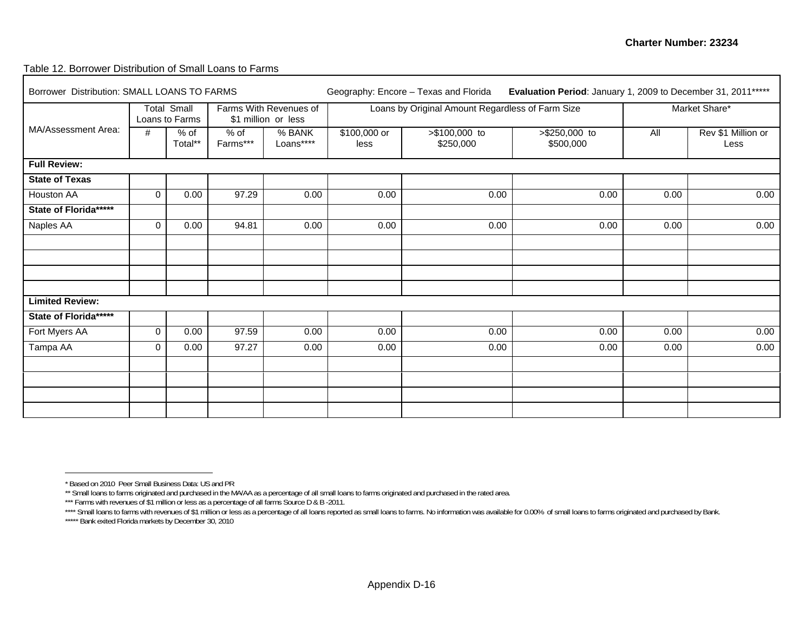#### Table 12. Borrower Distribution of Small Loans to Farms

| Borrower Distribution: SMALL LOANS TO FARMS |             |                                      |                  |                                               |                      | Geography: Encore - Texas and Florida            |                              | Evaluation Period: January 1, 2009 to December 31, 2011 ***** |                            |  |  |
|---------------------------------------------|-------------|--------------------------------------|------------------|-----------------------------------------------|----------------------|--------------------------------------------------|------------------------------|---------------------------------------------------------------|----------------------------|--|--|
|                                             |             | <b>Total Small</b><br>Loans to Farms |                  | Farms With Revenues of<br>\$1 million or less |                      | Loans by Original Amount Regardless of Farm Size |                              |                                                               | Market Share*              |  |  |
| MA/Assessment Area:                         | #           | $%$ of<br>Total**                    | % of<br>Farms*** | % BANK<br>Loans****                           | \$100,000 or<br>less | >\$100,000 to<br>\$250,000                       | $> $250,000$ to<br>\$500,000 | All                                                           | Rev \$1 Million or<br>Less |  |  |
| <b>Full Review:</b>                         |             |                                      |                  |                                               |                      |                                                  |                              |                                                               |                            |  |  |
| <b>State of Texas</b>                       |             |                                      |                  |                                               |                      |                                                  |                              |                                                               |                            |  |  |
| Houston AA                                  | $\Omega$    | 0.00                                 | 97.29            | 0.00                                          | 0.00                 | 0.00                                             | 0.00                         | 0.00                                                          | 0.00                       |  |  |
| State of Florida*****                       |             |                                      |                  |                                               |                      |                                                  |                              |                                                               |                            |  |  |
| Naples AA                                   | $\mathbf 0$ | 0.00                                 | 94.81            | 0.00                                          | 0.00                 | 0.00                                             | 0.00                         | 0.00                                                          | 0.00                       |  |  |
|                                             |             |                                      |                  |                                               |                      |                                                  |                              |                                                               |                            |  |  |
|                                             |             |                                      |                  |                                               |                      |                                                  |                              |                                                               |                            |  |  |
|                                             |             |                                      |                  |                                               |                      |                                                  |                              |                                                               |                            |  |  |
|                                             |             |                                      |                  |                                               |                      |                                                  |                              |                                                               |                            |  |  |
| <b>Limited Review:</b>                      |             |                                      |                  |                                               |                      |                                                  |                              |                                                               |                            |  |  |
| State of Florida******                      |             |                                      |                  |                                               |                      |                                                  |                              |                                                               |                            |  |  |
| Fort Myers AA                               | $\mathbf 0$ | 0.00                                 | 97.59            | 0.00                                          | 0.00                 | 0.00                                             | 0.00                         | 0.00                                                          | 0.00                       |  |  |
| Tampa AA                                    | 0           | 0.00                                 | 97.27            | 0.00                                          | 0.00                 | 0.00                                             | 0.00                         | 0.00                                                          | 0.00                       |  |  |
|                                             |             |                                      |                  |                                               |                      |                                                  |                              |                                                               |                            |  |  |
|                                             |             |                                      |                  |                                               |                      |                                                  |                              |                                                               |                            |  |  |
|                                             |             |                                      |                  |                                               |                      |                                                  |                              |                                                               |                            |  |  |
|                                             |             |                                      |                  |                                               |                      |                                                  |                              |                                                               |                            |  |  |

<sup>\*</sup> Based on 2010 Peer Small Business Data: US and PR

<sup>\*\*</sup> Small loans to farms originated and purchased in the MA/AA as a percentage of all small loans to farms originated and purchased in the rated area.

<sup>\*\*\*</sup> Farms with revenues of \$1 million or less as a percentage of all farms Source D & B -2011.

<sup>\*\*\*\*</sup> Small loans to farms with revenues of \$1 million or less as a percentage of all loans reported as small loans to farms. No information was available for 0.00% of small loans to farms originated and purchased by Bank.

<sup>\*\*\*\*\*</sup> Bank exited Florida markets by December 30, 2010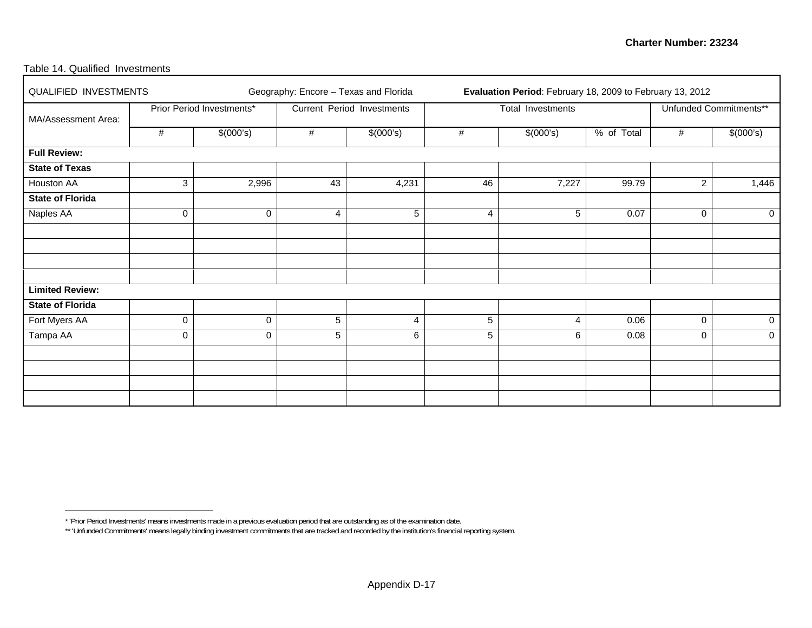#### Table 14. Qualified Investments

| QUALIFIED INVESTMENTS   |   |                           |    | Geography: Encore - Texas and Florida |    | Evaluation Period: February 18, 2009 to February 13, 2012 |            |                |                        |
|-------------------------|---|---------------------------|----|---------------------------------------|----|-----------------------------------------------------------|------------|----------------|------------------------|
| MA/Assessment Area:     |   | Prior Period Investments* |    | Current Period Investments            |    | Total Investments                                         |            |                | Unfunded Commitments** |
|                         | # | \$(000's)                 | #  | \$(000's)                             | #  | \$(000's)                                                 | % of Total | #              | \$(000's)              |
| <b>Full Review:</b>     |   |                           |    |                                       |    |                                                           |            |                |                        |
| <b>State of Texas</b>   |   |                           |    |                                       |    |                                                           |            |                |                        |
| <b>Houston AA</b>       | 3 | 2,996                     | 43 | 4,231                                 | 46 | 7,227                                                     | 99.79      | $\overline{2}$ | 1,446                  |
| <b>State of Florida</b> |   |                           |    |                                       |    |                                                           |            |                |                        |
| <b>Naples AA</b>        | 0 | $\mathbf 0$               | 4  | 5                                     | 4  | 5                                                         | 0.07       | 0              | $\mathbf 0$            |
|                         |   |                           |    |                                       |    |                                                           |            |                |                        |
|                         |   |                           |    |                                       |    |                                                           |            |                |                        |
|                         |   |                           |    |                                       |    |                                                           |            |                |                        |
|                         |   |                           |    |                                       |    |                                                           |            |                |                        |
| <b>Limited Review:</b>  |   |                           |    |                                       |    |                                                           |            |                |                        |
| <b>State of Florida</b> |   |                           |    |                                       |    |                                                           |            |                |                        |
| Fort Myers AA           | 0 | 0                         | 5  | 4                                     | 5  | 4                                                         | 0.06       | $\mathbf 0$    | 0                      |
| Tampa AA                | 0 | 0                         | 5  | 6                                     | 5  | 6                                                         | 0.08       | 0              | $\mathbf 0$            |
|                         |   |                           |    |                                       |    |                                                           |            |                |                        |
|                         |   |                           |    |                                       |    |                                                           |            |                |                        |
|                         |   |                           |    |                                       |    |                                                           |            |                |                        |
|                         |   |                           |    |                                       |    |                                                           |            |                |                        |

<sup>\* &#</sup>x27;Prior Period Investments' means investments made in a previous evaluation period that are outstanding as of the examination date.

<sup>\*\* &#</sup>x27;Unfunded Commitments' means legally binding investment commitments that are tracked and recorded by the institution's financial reporting system.